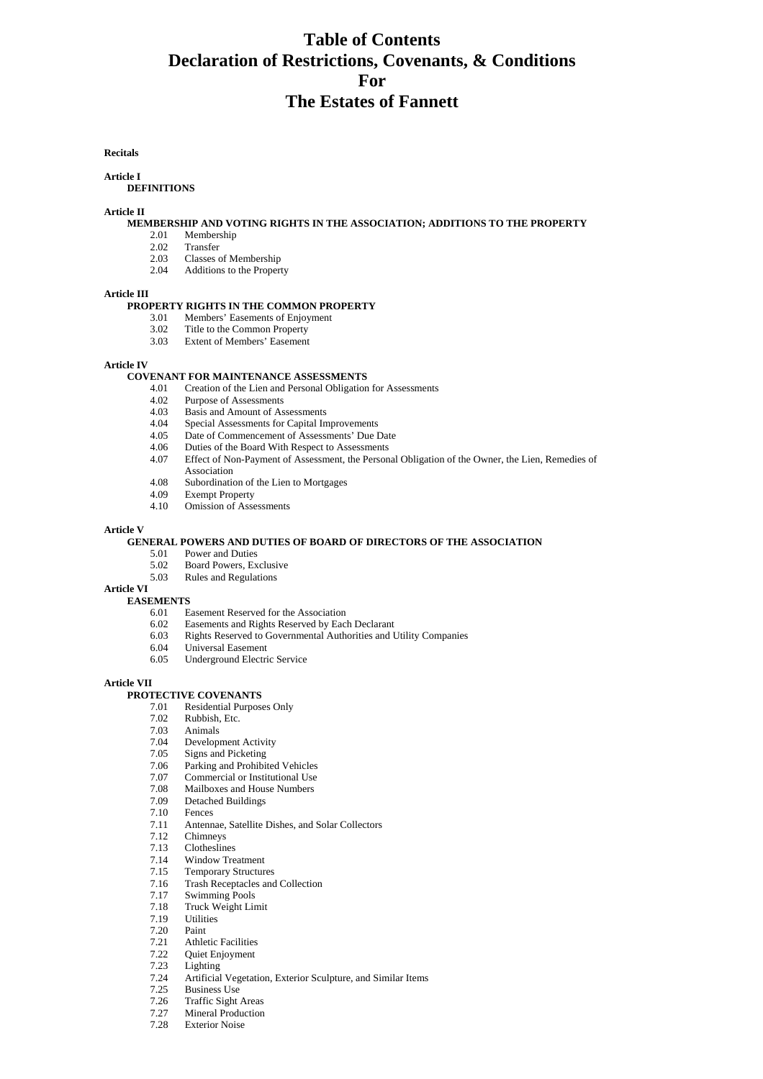# **Table of Contents Declaration of Restrictions, Covenants, & Conditions For The Estates of Fannett**

**Recitals** 

# **Article I**

## **DEFINITIONS**

#### **Article II**

# **MEMBERSHIP AND VOTING RIGHTS IN THE ASSOCIATION; ADDITIONS TO THE PROPERTY**

- 2.01 Membership
- 2.02 Transfer<br>2.03 Classes of
- Classes of Membership
- 2.04 Additions to the Property

#### **Article III**

### **PROPERTY RIGHTS IN THE COMMON PROPERTY**

- 3.01 Members' Easements of Enjoyment
- 3.02 Title to the Common Property
- 3.03 Extent of Members' Easement

#### **Article IV**

#### **COVENANT FOR MAINTENANCE ASSESSMENTS**

- 4.01 Creation of the Lien and Personal Obligation for Assessments<br>4.02 Purpose of Assessments
- 4.02 Purpose of Assessments<br>4.03 Basis and Amount of As
- Basis and Amount of Assessments
- 4.04 Special Assessments for Capital Improvements
- 4.05 Date of Commencement of Assessments' Due Date<br>4.06 Duties of the Board With Respect to Assessments
- 4.06 Duties of the Board With Respect to Assessments
- 4.07 Effect of Non-Payment of Assessment, the Personal Obligation of the Owner, the Lien, Remedies of Association
- 4.08 Subordination of the Lien to Mortgages
- 4.09 Exempt Property
- 4.10 Omission of Assessments

#### **Article V**

### **GENERAL POWERS AND DUTIES OF BOARD OF DIRECTORS OF THE ASSOCIATION**

- 5.01 Power and Duties
- 5.02 Board Powers, Exclusive
- 5.03 Rules and Regulations

#### **Article VI**

## **EASEMENTS**

- 6.01 Easement Reserved for the Association<br>6.02 Easements and Rights Reserved by Eac
- 
- 6.02 Easements and Rights Reserved by Each Declarant 6.03 Rights Reserved to Governmental Authorities and Utility Companies
- 6.04 Universal Easement
- 6.05 Underground Electric Service

# **Article VII**

# **PROTECTIVE COVENANTS**<br>
7.01 Residential Purpos

- Residential Purposes Only
- 7.02 Rubbish, Etc.
- 7.03 Animals
- Development Activity
- 
- 7.05 Signs and Picketing<br>7.06 Parking and Prohibi 7.06 Parking and Prohibited Vehicles<br>7.07 Commercial or Institutional Use
- Commercial or Institutional Use
- 7.08 Mailboxes and House Numbers
- 7.09 Detached Buildings
- 7.10 Fences
- 7.11 Antennae, Satellite Dishes, and Solar Collectors
- 7.12 Chimneys
- 7.13 Clotheslines<br>7.14 Window Tre
- Window Treatment
- 7.15 Temporary Structures
- 7.16 Trash Receptacles and Collection<br>7.17 Swimming Pools
- Swimming Pools
- 7.18 Truck Weight Limit
- 7.19 Utilities
- 7.20 Paint
- Athletic Facilities
- 7.22 Quiet Enjoyment
- 7.23 Lighting
- 7.24 Artificial Vegetation, Exterior Sculpture, and Similar Items
- Business Use
- 7.26 Traffic Sight Areas
- 7.27 Mineral Production<br>7.28 Exterior Noise
- Exterior Noise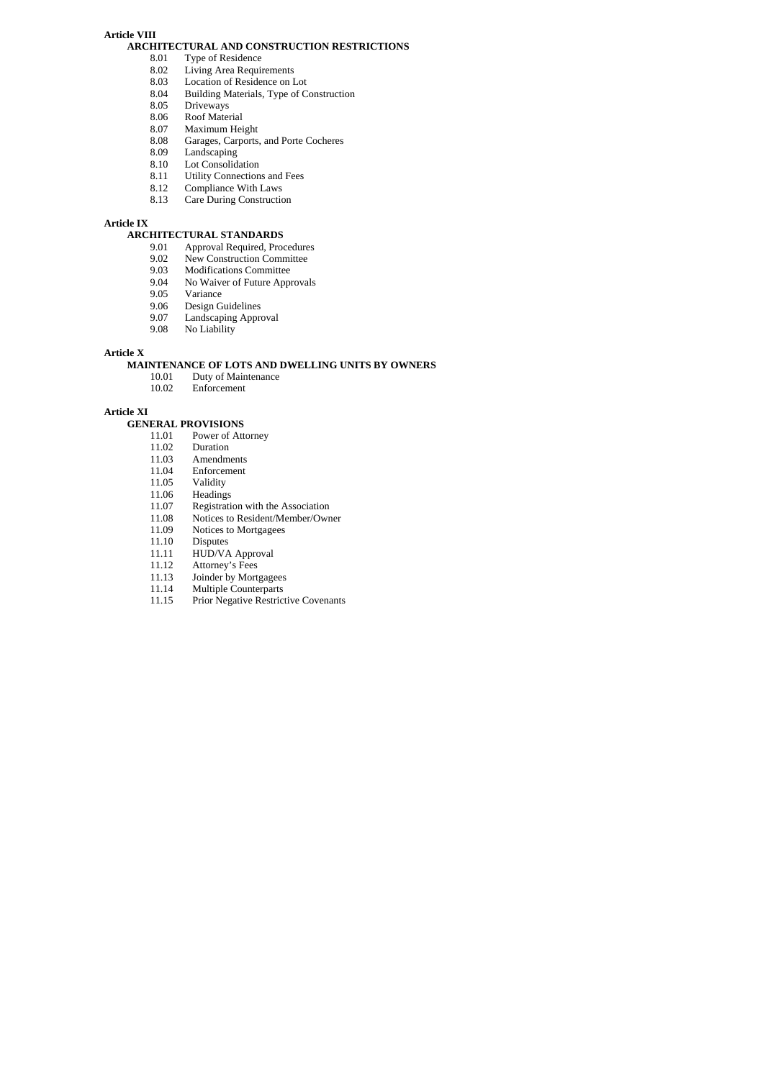# **Article VIII**

# **ARCHITECTURAL AND CONSTRUCTION RESTRICTIONS**<br>8.01 Type of Residence

- Type of Residence
	- 8.02 Living Area Requirements
	-
	- 8.03 Location of Residence on Lot 8.04 Building Materials, Type of C 8.04 Building Materials, Type of Construction<br>8.05 Driveways
	- 8.05 Driveways<br>8.06 Roof Mater
	- Roof Material
	-
	- 8.07 Maximum Height<br>8.08 Garages, Carports. 8.08 Garages, Carports, and Porte Cocheres<br>8.09 Landscaping
	- Landscaping
	- 8.10 Lot Consolidation<br>8.11 Utility Connection
	- 8.11 Utility Connections and Fees<br>8.12 Compliance With Laws
	- 8.12 Compliance With Laws<br>8.13 Care During Construction
	- Care During Construction

## **Article IX**

# **ARCHITECTURAL STANDARDS**

- 9.01 Approval Required, Procedures<br>9.02 New Construction Committee
- New Construction Committee
- 9.03 Modifications Committee<br>9.04 No Waiver of Future Appro
- No Waiver of Future Approvals
- 9.05 Variance<br>9.06 Design G
- 9.06 Design Guidelines<br>9.07 Landscaping Appro
- Landscaping Approval
- 9.08 No Liability

# **Article X**

# **MAINTENANCE OF LOTS AND DWELLING UNITS BY OWNERS**

- 10.01 Duty of Maintenance<br>10.02 Enforcement
	- Enforcement

**Article XI** 

# **GENERAL PROVISIONS**<br>11.01 Power of Att

- 11.01 Power of Attorney<br>11.02 Duration
- 11.02 Duration<br>11.03 Amendm
- 11.03 Amendments<br>11.04 Enforcement
- 11.04 Enforcement<br>11.05 Validity
- 11.05 Validity<br>11.06 Heading
- Headings
- 11.07 Registration with the Association<br>11.08 Notices to Resident/Member/Own
- 11.08 Notices to Resident/Member/Owner<br>11.09 Notices to Mortgagees
- 11.09 Notices to Mortgagees<br>11.10 Disputes
- 11.10 Disputes<br>11.11 HUD/VA
- 11.11 HUD/VA Approval<br>11.12 Attorney's Fees
- Attorney's Fees
- 11.13 Joinder by Mortgagees
- 11.14 Multiple Counterparts<br>11.15 Prior Negative Restrict
- Prior Negative Restrictive Covenants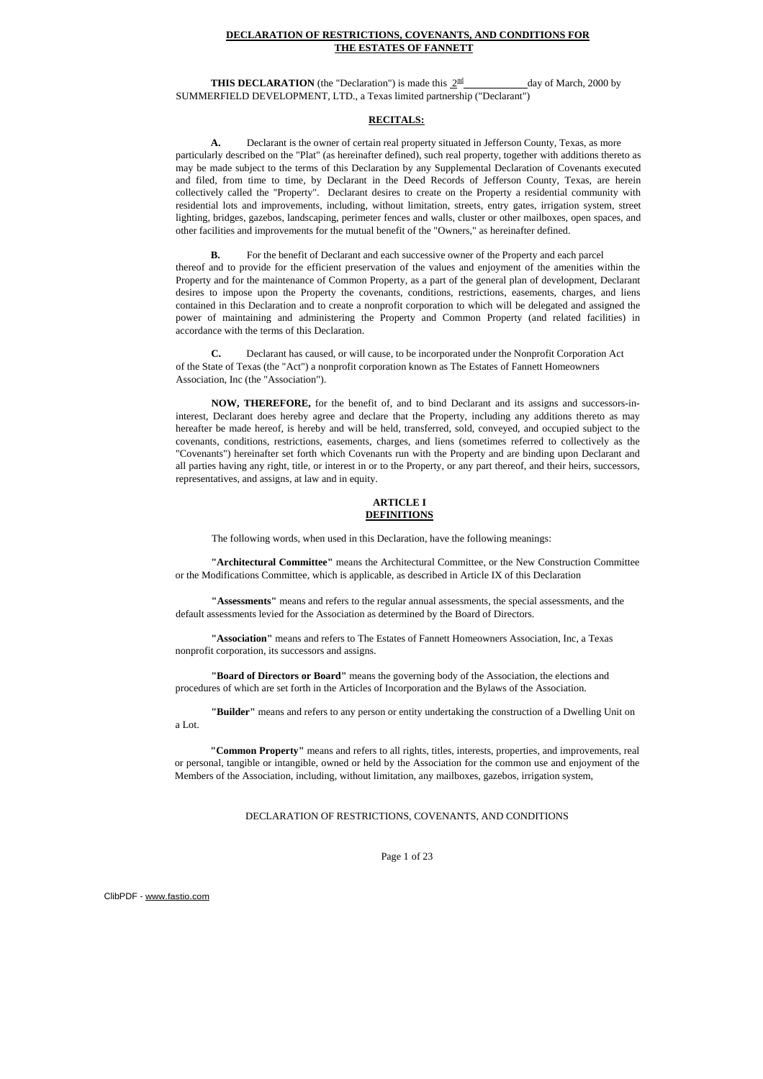### **DECLARATION OF RESTRICTIONS, COVENANTS, AND CONDITIONS FOR THE ESTATES OF FANNETT**

**THIS DECLARATION** (the "Declaration") is made this  $2^{\text{nd}}$  day of March, 2000 by SUMMERFIELD DEVELOPMENT, LTD., a Texas limited partnership ("Declarant")

## **RECITALS:**

**A.** Declarant is the owner of certain real property situated in Jefferson County, Texas, as more particularly described on the "Plat" (as hereinafter defined), such real property, together with additions thereto as may be made subject to the terms of this Declaration by any Supplemental Declaration of Covenants executed and filed, from time to time, by Declarant in the Deed Records of Jefferson County, Texas, are herein collectively called the "Property". Declarant desires to create on the Property a residential community with residential lots and improvements, including, without limitation, streets, entry gates, irrigation system, street lighting, bridges, gazebos, landscaping, perimeter fences and walls, cluster or other mailboxes, open spaces, and other facilities and improvements for the mutual benefit of the "Owners," as hereinafter defined.

**B.** For the benefit of Declarant and each successive owner of the Property and each parcel thereof and to provide for the efficient preservation of the values and enjoyment of the amenities within the Property and for the maintenance of Common Property, as a part of the general plan of development, Declarant desires to impose upon the Property the covenants, conditions, restrictions, easements, charges, and liens contained in this Declaration and to create a nonprofit corporation to which will be delegated and assigned the power of maintaining and administering the Property and Common Property (and related facilities) in accordance with the terms of this Declaration.

**C.** Declarant has caused, or will cause, to be incorporated under the Nonprofit Corporation Act of the State of Texas (the "Act") a nonprofit corporation known as The Estates of Fannett Homeowners Association, Inc (the "Association").

**NOW, THEREFORE,** for the benefit of, and to bind Declarant and its assigns and successors-ininterest, Declarant does hereby agree and declare that the Property, including any additions thereto as may hereafter be made hereof, is hereby and will be held, transferred, sold, conveyed, and occupied subject to the covenants, conditions, restrictions, easements, charges, and liens (sometimes referred to collectively as the "Covenants") hereinafter set forth which Covenants run with the Property and are binding upon Declarant and all parties having any right, title, or interest in or to the Property, or any part thereof, and their heirs, successors, representatives, and assigns, at law and in equity.

#### **ARTICLE I DEFINITIONS**

The following words, when used in this Declaration, have the following meanings:

**"Architectural Committee"** means the Architectural Committee, or the New Construction Committee or the Modifications Committee, which is applicable, as described in Article IX of this Declaration

**"Assessments"** means and refers to the regular annual assessments, the special assessments, and the default assessments levied for the Association as determined by the Board of Directors.

**"Association"** means and refers to The Estates of Fannett Homeowners Association, Inc, a Texas nonprofit corporation, its successors and assigns.

**"Board of Directors or Board"** means the governing body of the Association, the elections and procedures of which are set forth in the Articles of Incorporation and the Bylaws of the Association.

**"Builder"** means and refers to any person or entity undertaking the construction of a Dwelling Unit on a Lot.

**"Common Property"** means and refers to all rights, titles, interests, properties, and improvements, real or personal, tangible or intangible, owned or held by the Association for the common use and enjoyment of the Members of the Association, including, without limitation, any mailboxes, gazebos, irrigation system,

DECLARATION OF RESTRICTIONS, COVENANTS, AND CONDITIONS

Page 1 of 23

ClibPDF - [www.fastio.com](http://www.fastio.com/)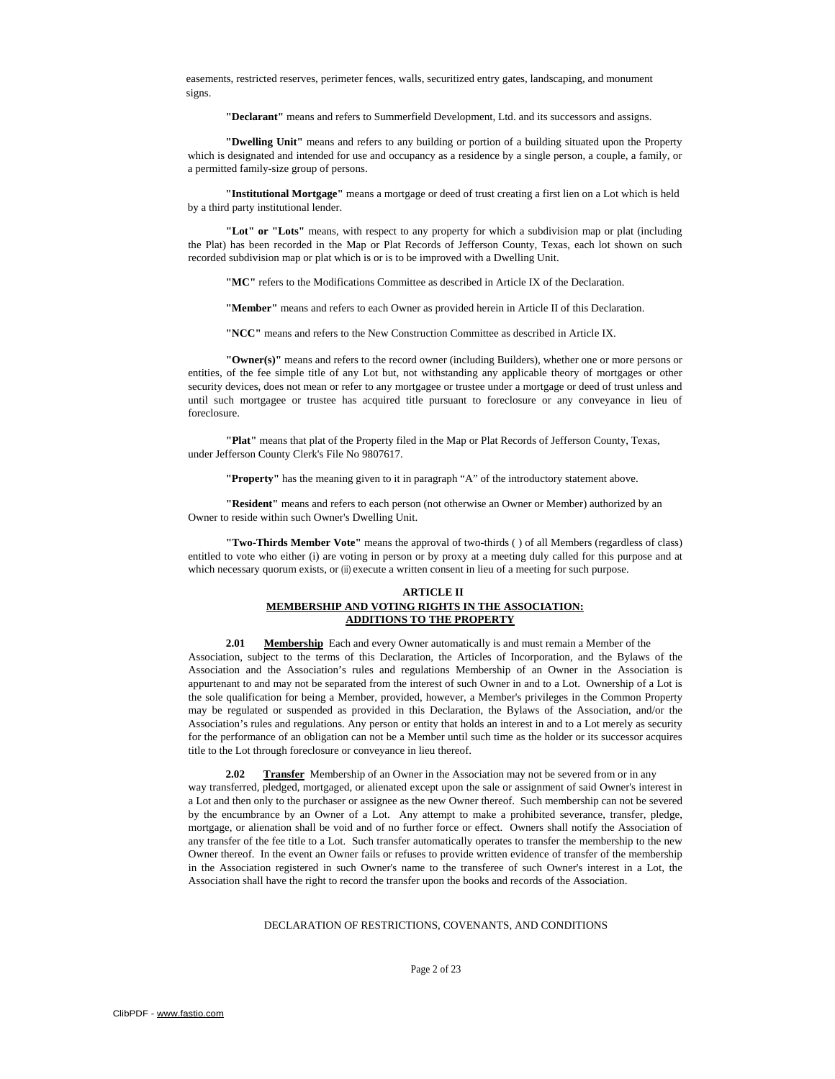easements, restricted reserves, perimeter fences, walls, securitized entry gates, landscaping, and monument signs.

**"Declarant"** means and refers to Summerfield Development, Ltd. and its successors and assigns.

**"Dwelling Unit"** means and refers to any building or portion of a building situated upon the Property which is designated and intended for use and occupancy as a residence by a single person, a couple, a family, or a permitted family-size group of persons.

**"Institutional Mortgage"** means a mortgage or deed of trust creating a first lien on a Lot which is held by a third party institutional lender.

**"Lot" or "Lots"** means, with respect to any property for which a subdivision map or plat (including the Plat) has been recorded in the Map or Plat Records of Jefferson County, Texas, each lot shown on such recorded subdivision map or plat which is or is to be improved with a Dwelling Unit.

**"MC"** refers to the Modifications Committee as described in Article IX of the Declaration.

**"Member"** means and refers to each Owner as provided herein in Article II of this Declaration.

**"NCC"** means and refers to the New Construction Committee as described in Article IX.

**"Owner(s)"** means and refers to the record owner (including Builders), whether one or more persons or entities, of the fee simple title of any Lot but, not withstanding any applicable theory of mortgages or other security devices, does not mean or refer to any mortgagee or trustee under a mortgage or deed of trust unless and until such mortgagee or trustee has acquired title pursuant to foreclosure or any conveyance in lieu of foreclosure.

**"Plat"** means that plat of the Property filed in the Map or Plat Records of Jefferson County, Texas, under Jefferson County Clerk's File No 9807617.

**"Property"** has the meaning given to it in paragraph "A" of the introductory statement above.

**"Resident"** means and refers to each person (not otherwise an Owner or Member) authorized by an Owner to reside within such Owner's Dwelling Unit.

**"Two-Thirds Member Vote"** means the approval of two-thirds ( ) of all Members (regardless of class) entitled to vote who either (i) are voting in person or by proxy at a meeting duly called for this purpose and at which necessary quorum exists, or (ii) execute a written consent in lieu of a meeting for such purpose.

#### **ARTICLE II MEMBERSHIP AND VOTING RIGHTS IN THE ASSOCIATION: ADDITIONS TO THE PROPERTY**

**2.01** Membership Each and every Owner automatically is and must remain a Member of the Association, subject to the terms of this Declaration, the Articles of Incorporation, and the Bylaws of the Association and the Association's rules and regulations Membership of an Owner in the Association is appurtenant to and may not be separated from the interest of such Owner in and to a Lot. Ownership of a Lot is the sole qualification for being a Member, provided, however, a Member's privileges in the Common Property may be regulated or suspended as provided in this Declaration, the Bylaws of the Association, and/or the Association's rules and regulations. Any person or entity that holds an interest in and to a Lot merely as security for the performance of an obligation can not be a Member until such time as the holder or its successor acquires title to the Lot through foreclosure or conveyance in lieu thereof.

**2.02** Transfer Membership of an Owner in the Association may not be severed from or in any way transferred, pledged, mortgaged, or alienated except upon the sale or assignment of said Owner's interest in a Lot and then only to the purchaser or assignee as the new Owner thereof. Such membership can not be severed by the encumbrance by an Owner of a Lot. Any attempt to make a prohibited severance, transfer, pledge, mortgage, or alienation shall be void and of no further force or effect. Owners shall notify the Association of any transfer of the fee title to a Lot. Such transfer automatically operates to transfer the membership to the new Owner thereof. In the event an Owner fails or refuses to provide written evidence of transfer of the membership in the Association registered in such Owner's name to the transferee of such Owner's interest in a Lot, the Association shall have the right to record the transfer upon the books and records of the Association.

#### DECLARATION OF RESTRICTIONS, COVENANTS, AND CONDITIONS

Page 2 of 23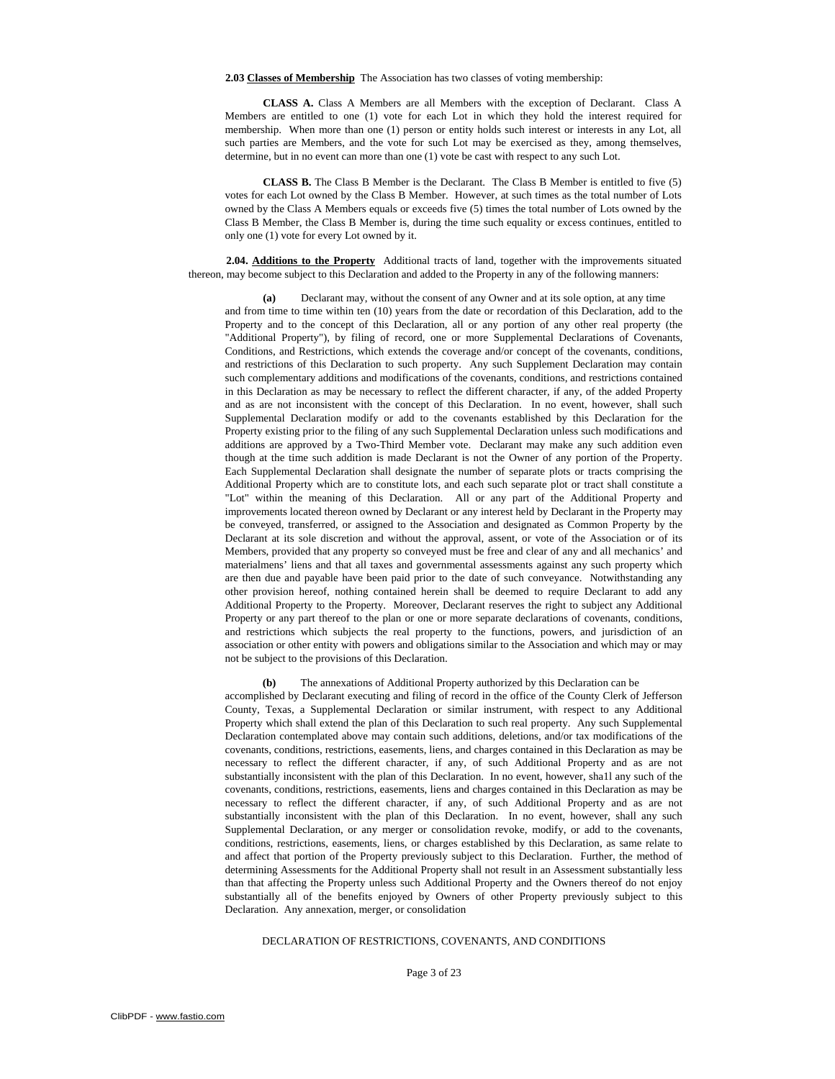**2.03 Classes of Membership** The Association has two classes of voting membership:

**CLASS A.** Class A Members are all Members with the exception of Declarant. Class A Members are entitled to one (1) vote for each Lot in which they hold the interest required for membership. When more than one (1) person or entity holds such interest or interests in any Lot, all such parties are Members, and the vote for such Lot may be exercised as they, among themselves, determine, but in no event can more than one (1) vote be cast with respect to any such Lot.

**CLASS B.** The Class B Member is the Declarant. The Class B Member is entitled to five (5) votes for each Lot owned by the Class B Member. However, at such times as the total number of Lots owned by the Class A Members equals or exceeds five (5) times the total number of Lots owned by the Class B Member, the Class B Member is, during the time such equality or excess continues, entitled to only one (1) vote for every Lot owned by it.

**2.04. Additions to the Property** Additional tracts of land, together with the improvements situated thereon, may become subject to this Declaration and added to the Property in any of the following manners:

**(a)** Declarant may, without the consent of any Owner and at its sole option, at any time and from time to time within ten (10) years from the date or recordation of this Declaration, add to the Property and to the concept of this Declaration, all or any portion of any other real property (the "Additional Property"), by filing of record, one or more Supplemental Declarations of Covenants, Conditions, and Restrictions, which extends the coverage and/or concept of the covenants, conditions, and restrictions of this Declaration to such property. Any such Supplement Declaration may contain such complementary additions and modifications of the covenants, conditions, and restrictions contained in this Declaration as may be necessary to reflect the different character, if any, of the added Property and as are not inconsistent with the concept of this Declaration. In no event, however, shall such Supplemental Declaration modify or add to the covenants established by this Declaration for the Property existing prior to the filing of any such Supplemental Declaration unless such modifications and additions are approved by a Two-Third Member vote. Declarant may make any such addition even though at the time such addition is made Declarant is not the Owner of any portion of the Property. Each Supplemental Declaration shall designate the number of separate plots or tracts comprising the Additional Property which are to constitute lots, and each such separate plot or tract shall constitute a "Lot" within the meaning of this Declaration. All or any part of the Additional Property and improvements located thereon owned by Declarant or any interest held by Declarant in the Property may be conveyed, transferred, or assigned to the Association and designated as Common Property by the Declarant at its sole discretion and without the approval, assent, or vote of the Association or of its Members, provided that any property so conveyed must be free and clear of any and all mechanics' and materialmens' liens and that all taxes and governmental assessments against any such property which are then due and payable have been paid prior to the date of such conveyance. Notwithstanding any other provision hereof, nothing contained herein shall be deemed to require Declarant to add any Additional Property to the Property. Moreover, Declarant reserves the right to subject any Additional Property or any part thereof to the plan or one or more separate declarations of covenants, conditions, and restrictions which subjects the real property to the functions, powers, and jurisdiction of an association or other entity with powers and obligations similar to the Association and which may or may not be subject to the provisions of this Declaration.

**(b)** The annexations of Additional Property authorized by this Declaration can be accomplished by Declarant executing and filing of record in the office of the County Clerk of Jefferson County, Texas, a Supplemental Declaration or similar instrument, with respect to any Additional Property which shall extend the plan of this Declaration to such real property. Any such Supplemental Declaration contemplated above may contain such additions, deletions, and/or tax modifications of the covenants, conditions, restrictions, easements, liens, and charges contained in this Declaration as may be necessary to reflect the different character, if any, of such Additional Property and as are not substantially inconsistent with the plan of this Declaration. In no event, however, sha1l any such of the covenants, conditions, restrictions, easements, liens and charges contained in this Declaration as may be necessary to reflect the different character, if any, of such Additional Property and as are not substantially inconsistent with the plan of this Declaration. In no event, however, shall any such Supplemental Declaration, or any merger or consolidation revoke, modify, or add to the covenants, conditions, restrictions, easements, liens, or charges established by this Declaration, as same relate to and affect that portion of the Property previously subject to this Declaration. Further, the method of determining Assessments for the Additional Property shall not result in an Assessment substantially less than that affecting the Property unless such Additional Property and the Owners thereof do not enjoy substantially all of the benefits enjoyed by Owners of other Property previously subject to this Declaration. Any annexation, merger, or consolidation

#### DECLARATION OF RESTRICTIONS, COVENANTS, AND CONDITIONS

## Page 3 of 23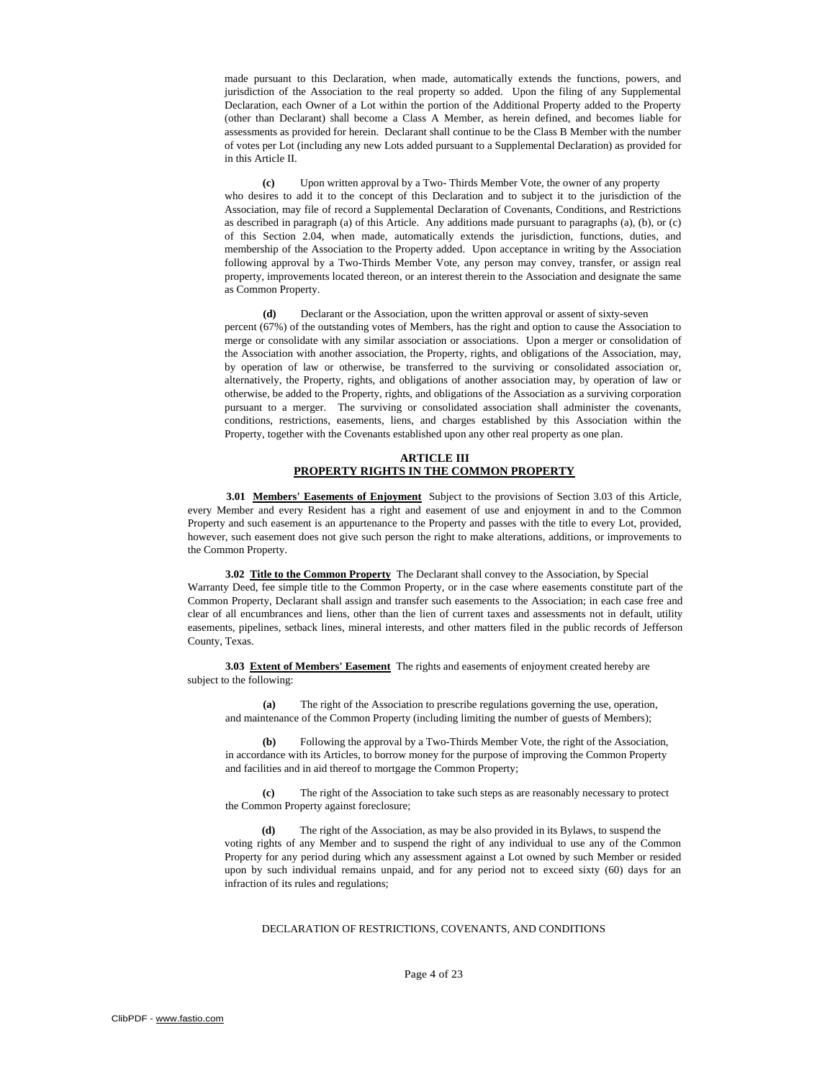made pursuant to this Declaration, when made, automatically extends the functions, powers, and jurisdiction of the Association to the real property so added. Upon the filing of any Supplemental Declaration, each Owner of a Lot within the portion of the Additional Property added to the Property (other than Declarant) shall become a Class A Member, as herein defined, and becomes liable for assessments as provided for herein. Declarant shall continue to be the Class B Member with the number of votes per Lot (including any new Lots added pursuant to a Supplemental Declaration) as provided for in this Article II.

**(c)** Upon written approval by a Two- Thirds Member Vote, the owner of any property who desires to add it to the concept of this Declaration and to subject it to the jurisdiction of the Association, may file of record a Supplemental Declaration of Covenants, Conditions, and Restrictions as described in paragraph (a) of this Article. Any additions made pursuant to paragraphs (a), (b), or (c) of this Section 2.04, when made, automatically extends the jurisdiction, functions, duties, and membership of the Association to the Property added. Upon acceptance in writing by the Association following approval by a Two-Thirds Member Vote, any person may convey, transfer, or assign real property, improvements located thereon, or an interest therein to the Association and designate the same as Common Property.

**(d)** Declarant or the Association, upon the written approval or assent of sixty-seven percent (67%) of the outstanding votes of Members, has the right and option to cause the Association to merge or consolidate with any similar association or associations. Upon a merger or consolidation of the Association with another association, the Property, rights, and obligations of the Association, may, by operation of law or otherwise, be transferred to the surviving or consolidated association or, alternatively, the Property, rights, and obligations of another association may, by operation of law or otherwise, be added to the Property, rights, and obligations of the Association as a surviving corporation pursuant to a merger. The surviving or consolidated association shall administer the covenants, conditions, restrictions, easements, liens, and charges established by this Association within the Property, together with the Covenants established upon any other real property as one plan.

#### **ARTICLE III PROPERTY RIGHTS IN THE COMMON PROPERTY**

**3.01 Members' Easements of Enjoyment** Subject to the provisions of Section 3.03 of this Article, every Member and every Resident has a right and easement of use and enjoyment in and to the Common Property and such easement is an appurtenance to the Property and passes with the title to every Lot, provided, however, such easement does not give such person the right to make alterations, additions, or improvements to the Common Property.

**3.02 Title to the Common Property** The Declarant shall convey to the Association, by Special Warranty Deed, fee simple title to the Common Property, or in the case where easements constitute part of the Common Property, Declarant shall assign and transfer such easements to the Association; in each case free and clear of all encumbrances and liens, other than the lien of current taxes and assessments not in default, utility easements, pipelines, setback lines, mineral interests, and other matters filed in the public records of Jefferson County, Texas.

**3.03 Extent of Members' Easement** The rights and easements of enjoyment created hereby are subject to the following:

**(a)** The right of the Association to prescribe regulations governing the use, operation, and maintenance of the Common Property (including limiting the number of guests of Members);

**(b)** Following the approval by a Two-Thirds Member Vote, the right of the Association, in accordance with its Articles, to borrow money for the purpose of improving the Common Property and facilities and in aid thereof to mortgage the Common Property;

**(c)** The right of the Association to take such steps as are reasonably necessary to protect the Common Property against foreclosure;

The right of the Association, as may be also provided in its Bylaws, to suspend the voting rights of any Member and to suspend the right of any individual to use any of the Common Property for any period during which any assessment against a Lot owned by such Member or resided upon by such individual remains unpaid, and for any period not to exceed sixty (60) days for an infraction of its rules and regulations;

# DECLARATION OF RESTRICTIONS, COVENANTS, AND CONDITIONS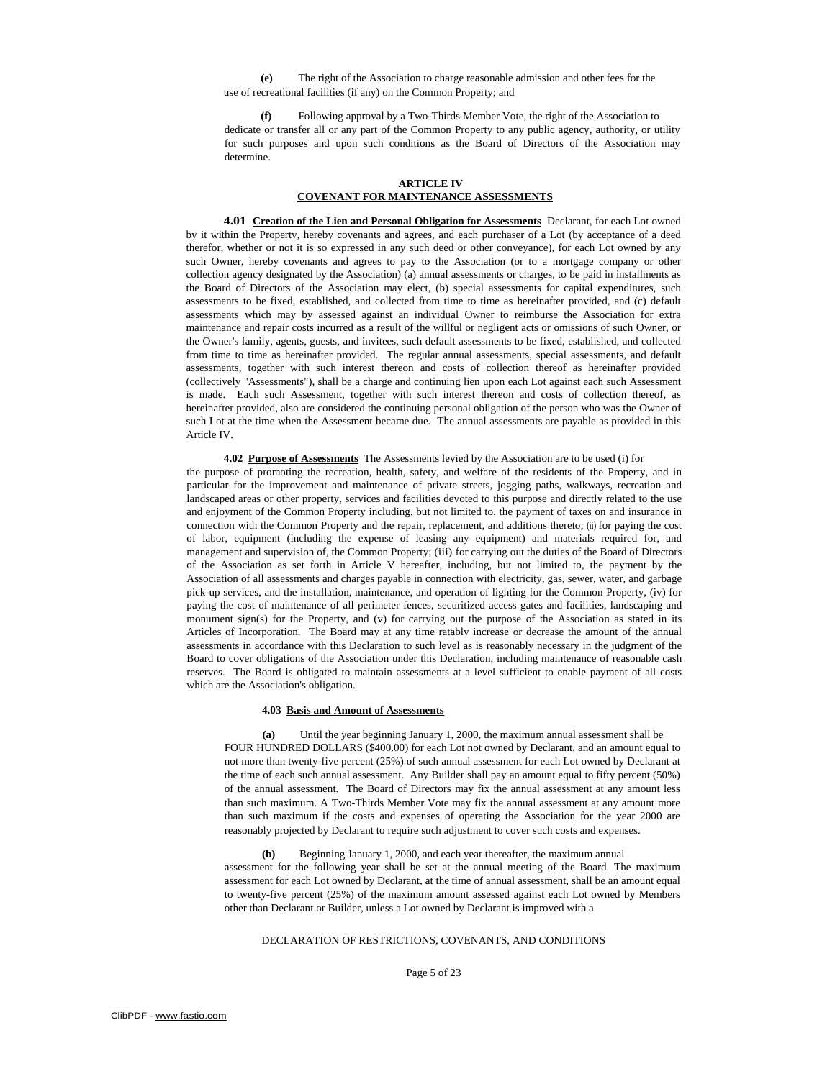**(e)** The right of the Association to charge reasonable admission and other fees for the use of recreational facilities (if any) on the Common Property; and

**(f)** Following approval by a Two-Thirds Member Vote, the right of the Association to dedicate or transfer all or any part of the Common Property to any public agency, authority, or utility for such purposes and upon such conditions as the Board of Directors of the Association may determine.

### **ARTICLE IV COVENANT FOR MAINTENANCE ASSESSMENTS**

**4.01 Creation of the Lien and Personal Obligation for Assessments** Declarant, for each Lot owned by it within the Property, hereby covenants and agrees, and each purchaser of a Lot (by acceptance of a deed therefor, whether or not it is so expressed in any such deed or other conveyance), for each Lot owned by any such Owner, hereby covenants and agrees to pay to the Association (or to a mortgage company or other collection agency designated by the Association) (a) annual assessments or charges, to be paid in installments as the Board of Directors of the Association may elect, (b) special assessments for capital expenditures, such assessments to be fixed, established, and collected from time to time as hereinafter provided, and (c) default assessments which may by assessed against an individual Owner to reimburse the Association for extra maintenance and repair costs incurred as a result of the willful or negligent acts or omissions of such Owner, or the Owner's family, agents, guests, and invitees, such default assessments to be fixed, established, and collected from time to time as hereinafter provided. The regular annual assessments, special assessments, and default assessments, together with such interest thereon and costs of collection thereof as hereinafter provided (collectively "Assessments"), shall be a charge and continuing lien upon each Lot against each such Assessment is made. Each such Assessment, together with such interest thereon and costs of collection thereof, as hereinafter provided, also are considered the continuing personal obligation of the person who was the Owner of such Lot at the time when the Assessment became due. The annual assessments are payable as provided in this Article IV.

**4.02 Purpose of Assessments** The Assessments levied by the Association are to be used (i) for

the purpose of promoting the recreation, health, safety, and welfare of the residents of the Property, and in particular for the improvement and maintenance of private streets, jogging paths, walkways, recreation and landscaped areas or other property, services and facilities devoted to this purpose and directly related to the use and enjoyment of the Common Property including, but not limited to, the payment of taxes on and insurance in connection with the Common Property and the repair, replacement, and additions thereto; (ii) for paying the cost of labor, equipment (including the expense of leasing any equipment) and materials required for, and management and supervision of, the Common Property; (iii) for carrying out the duties of the Board of Directors of the Association as set forth in Article V hereafter, including, but not limited to, the payment by the Association of all assessments and charges payable in connection with electricity, gas, sewer, water, and garbage pick-up services, and the installation, maintenance, and operation of lighting for the Common Property, (iv) for paying the cost of maintenance of all perimeter fences, securitized access gates and facilities, landscaping and monument sign(s) for the Property, and (v) for carrying out the purpose of the Association as stated in its Articles of Incorporation. The Board may at any time ratably increase or decrease the amount of the annual assessments in accordance with this Declaration to such level as is reasonably necessary in the judgment of the Board to cover obligations of the Association under this Declaration, including maintenance of reasonable cash reserves. The Board is obligated to maintain assessments at a level sufficient to enable payment of all costs which are the Association's obligation.

## **4.03 Basis and Amount of Assessments**

**(a)** Until the year beginning January 1, 2000, the maximum annual assessment shall be FOUR HUNDRED DOLLARS (\$400.00) for each Lot not owned by Declarant, and an amount equal to not more than twenty-five percent (25%) of such annual assessment for each Lot owned by Declarant at the time of each such annual assessment. Any Builder shall pay an amount equal to fifty percent (50%) of the annual assessment. The Board of Directors may fix the annual assessment at any amount less than such maximum. A Two-Thirds Member Vote may fix the annual assessment at any amount more than such maximum if the costs and expenses of operating the Association for the year 2000 are reasonably projected by Declarant to require such adjustment to cover such costs and expenses.

**(b)** Beginning January 1, 2000, and each year thereafter, the maximum annual assessment for the following year shall be set at the annual meeting of the Board. The maximum assessment for each Lot owned by Declarant, at the time of annual assessment, shall be an amount equal to twenty-five percent (25%) of the maximum amount assessed against each Lot owned by Members other than Declarant or Builder, unless a Lot owned by Declarant is improved with a

# DECLARATION OF RESTRICTIONS, COVENANTS, AND CONDITIONS

Page 5 of 23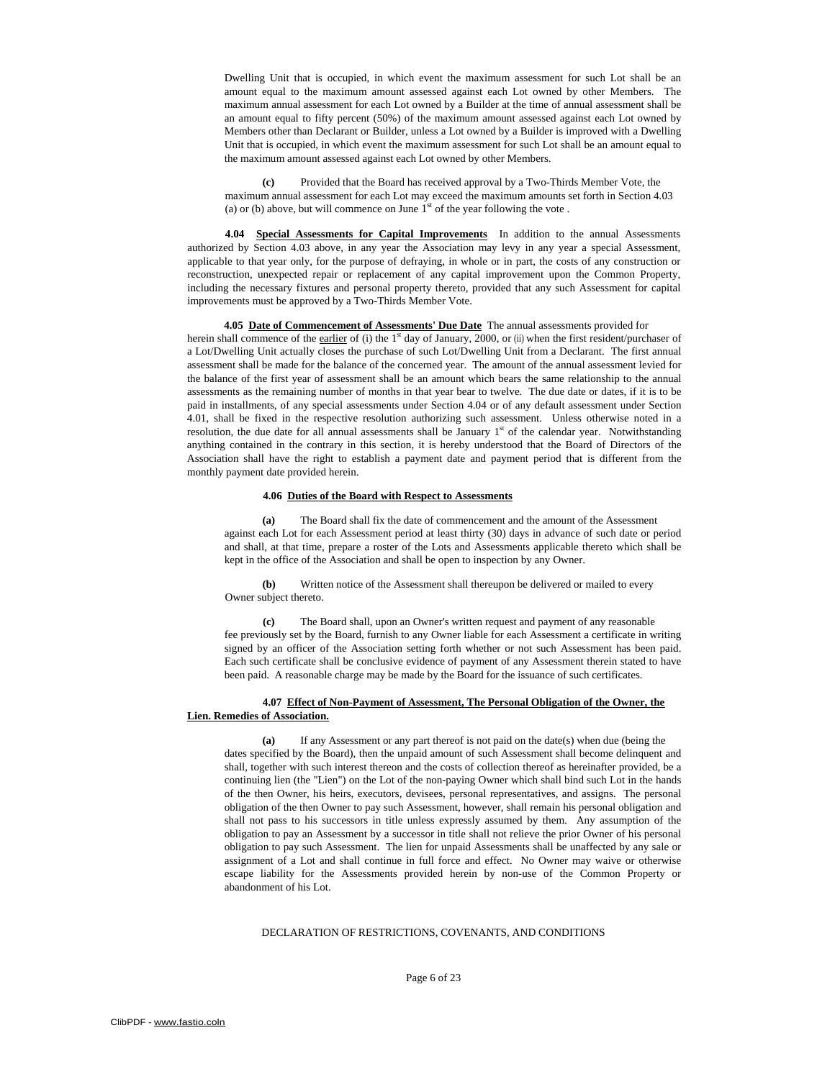Dwelling Unit that is occupied, in which event the maximum assessment for such Lot shall be an amount equal to the maximum amount assessed against each Lot owned by other Members. The maximum annual assessment for each Lot owned by a Builder at the time of annual assessment shall be an amount equal to fifty percent (50%) of the maximum amount assessed against each Lot owned by Members other than Declarant or Builder, unless a Lot owned by a Builder is improved with a Dwelling Unit that is occupied, in which event the maximum assessment for such Lot shall be an amount equal to the maximum amount assessed against each Lot owned by other Members.

**(c)** Provided that the Board has received approval by a Two-Thirds Member Vote, the maximum annual assessment for each Lot may exceed the maximum amounts set forth in Section 4.03 (a) or (b) above, but will commence on June  $1<sup>st</sup>$  of the year following the vote.

**4.04 Special Assessments for Capital Improvements** In addition to the annual Assessments authorized by Section 4.03 above, in any year the Association may levy in any year a special Assessment, applicable to that year only, for the purpose of defraying, in whole or in part, the costs of any construction or reconstruction, unexpected repair or replacement of any capital improvement upon the Common Property, including the necessary fixtures and personal property thereto, provided that any such Assessment for capital improvements must be approved by a Two-Thirds Member Vote.

**4.05 Date of Commencement of Assessments' Due Date** The annual assessments provided for herein shall commence of the earlier of (i) the 1<sup>st</sup> day of January, 2000, or (ii) when the first resident/purchaser of a Lot/Dwelling Unit actually closes the purchase of such Lot/Dwelling Unit from a Declarant. The first annual assessment shall be made for the balance of the concerned year. The amount of the annual assessment levied for the balance of the first year of assessment shall be an amount which bears the same relationship to the annual assessments as the remaining number of months in that year bear to twelve. The due date or dates, if it is to be paid in installments, of any special assessments under Section 4.04 or of any default assessment under Section 4.01, shall be fixed in the respective resolution authorizing such assessment. Unless otherwise noted in a resolution, the due date for all annual assessments shall be January  $1<sup>st</sup>$  of the calendar year. Notwithstanding anything contained in the contrary in this section, it is hereby understood that the Board of Directors of the Association shall have the right to establish a payment date and payment period that is different from the monthly payment date provided herein.

#### **4.06 Duties of the Board with Respect to Assessments**

**(a)** The Board shall fix the date of commencement and the amount of the Assessment against each Lot for each Assessment period at least thirty (30) days in advance of such date or period and shall, at that time, prepare a roster of the Lots and Assessments applicable thereto which shall be kept in the office of the Association and shall be open to inspection by any Owner.

**(b)** Written notice of the Assessment shall thereupon be delivered or mailed to every Owner subject thereto.

**(c)** The Board shall, upon an Owner's written request and payment of any reasonable fee previously set by the Board, furnish to any Owner liable for each Assessment a certificate in writing signed by an officer of the Association setting forth whether or not such Assessment has been paid. Each such certificate shall be conclusive evidence of payment of any Assessment therein stated to have been paid. A reasonable charge may be made by the Board for the issuance of such certificates.

# **4.07 Effect of Non-Payment of Assessment, The Personal Obligation of the Owner, the Lien. Remedies of Association.**

**(a)** If any Assessment or any part thereof is not paid on the date(s) when due (being the dates specified by the Board), then the unpaid amount of such Assessment shall become delinquent and shall, together with such interest thereon and the costs of collection thereof as hereinafter provided, be a continuing lien (the "Lien") on the Lot of the non-paying Owner which shall bind such Lot in the hands of the then Owner, his heirs, executors, devisees, personal representatives, and assigns. The personal obligation of the then Owner to pay such Assessment, however, shall remain his personal obligation and shall not pass to his successors in title unless expressly assumed by them. Any assumption of the obligation to pay an Assessment by a successor in title shall not relieve the prior Owner of his personal obligation to pay such Assessment. The lien for unpaid Assessments shall be unaffected by any sale or assignment of a Lot and shall continue in full force and effect. No Owner may waive or otherwise escape liability for the Assessments provided herein by non-use of the Common Property or abandonment of his Lot.

### DECLARATION OF RESTRICTIONS, COVENANTS, AND CONDITIONS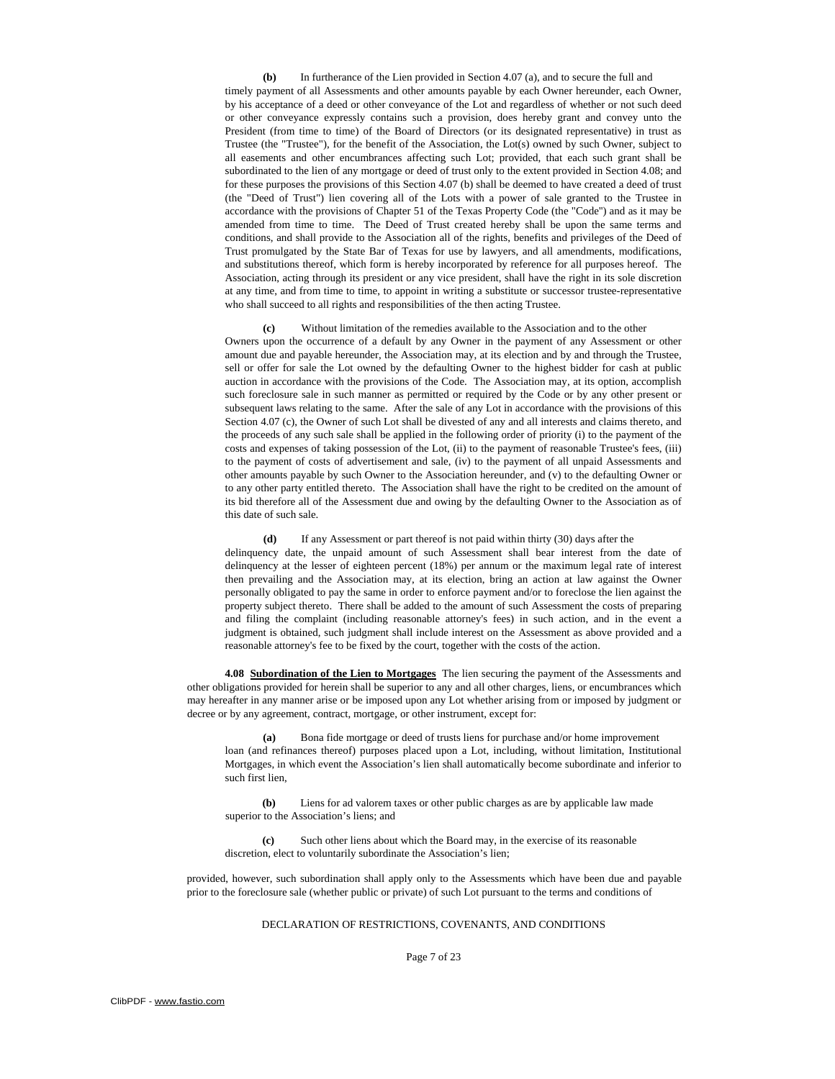**(b)** In furtherance of the Lien provided in Section 4.07 (a), and to secure the full and timely payment of all Assessments and other amounts payable by each Owner hereunder, each Owner, by his acceptance of a deed or other conveyance of the Lot and regardless of whether or not such deed or other conveyance expressly contains such a provision, does hereby grant and convey unto the President (from time to time) of the Board of Directors (or its designated representative) in trust as Trustee (the "Trustee"), for the benefit of the Association, the Lot(s) owned by such Owner, subject to all easements and other encumbrances affecting such Lot; provided, that each such grant shall be subordinated to the lien of any mortgage or deed of trust only to the extent provided in Section 4.08; and for these purposes the provisions of this Section 4.07 (b) shall be deemed to have created a deed of trust (the "Deed of Trust") lien covering all of the Lots with a power of sale granted to the Trustee in accordance with the provisions of Chapter 51 of the Texas Property Code (the "Code'') and as it may be amended from time to time. The Deed of Trust created hereby shall be upon the same terms and conditions, and shall provide to the Association all of the rights, benefits and privileges of the Deed of Trust promulgated by the State Bar of Texas for use by lawyers, and all amendments, modifications, and substitutions thereof, which form is hereby incorporated by reference for all purposes hereof. The Association, acting through its president or any vice president, shall have the right in its sole discretion at any time, and from time to time, to appoint in writing a substitute or successor trustee-representative who shall succeed to all rights and responsibilities of the then acting Trustee.

**(c)** Without limitation of the remedies available to the Association and to the other Owners upon the occurrence of a default by any Owner in the payment of any Assessment or other amount due and payable hereunder, the Association may, at its election and by and through the Trustee, sell or offer for sale the Lot owned by the defaulting Owner to the highest bidder for cash at public auction in accordance with the provisions of the Code. The Association may, at its option, accomplish such foreclosure sale in such manner as permitted or required by the Code or by any other present or subsequent laws relating to the same. After the sale of any Lot in accordance with the provisions of this Section 4.07 (c), the Owner of such Lot shall be divested of any and all interests and claims thereto, and the proceeds of any such sale shall be applied in the following order of priority (i) to the payment of the costs and expenses of taking possession of the Lot, (ii) to the payment of reasonable Trustee's fees, (iii) to the payment of costs of advertisement and sale, (iv) to the payment of all unpaid Assessments and other amounts payable by such Owner to the Association hereunder, and (v) to the defaulting Owner or to any other party entitled thereto. The Association shall have the right to be credited on the amount of its bid therefore all of the Assessment due and owing by the defaulting Owner to the Association as of this date of such sale.

**(d)** If any Assessment or part thereof is not paid within thirty (30) days after the delinquency date, the unpaid amount of such Assessment shall bear interest from the date of delinquency at the lesser of eighteen percent (18%) per annum or the maximum legal rate of interest then prevailing and the Association may, at its election, bring an action at law against the Owner personally obligated to pay the same in order to enforce payment and/or to foreclose the lien against the property subject thereto. There shall be added to the amount of such Assessment the costs of preparing and filing the complaint (including reasonable attorney's fees) in such action, and in the event a judgment is obtained, such judgment shall include interest on the Assessment as above provided and a reasonable attorney's fee to be fixed by the court, together with the costs of the action.

**4.08 Subordination of the Lien to Mortgages** The lien securing the payment of the Assessments and other obligations provided for herein shall be superior to any and all other charges, liens, or encumbrances which may hereafter in any manner arise or be imposed upon any Lot whether arising from or imposed by judgment or decree or by any agreement, contract, mortgage, or other instrument, except for:

**(a)** Bona fide mortgage or deed of trusts liens for purchase and/or home improvement loan (and refinances thereof) purposes placed upon a Lot, including, without limitation, Institutional Mortgages, in which event the Association's lien shall automatically become subordinate and inferior to such first lien,

**(b)** Liens for ad valorem taxes or other public charges as are by applicable law made superior to the Association's liens; and

**(c)** Such other liens about which the Board may, in the exercise of its reasonable discretion, elect to voluntarily subordinate the Association's lien;

provided, however, such subordination shall apply only to the Assessments which have been due and payable prior to the foreclosure sale (whether public or private) of such Lot pursuant to the terms and conditions of

DECLARATION OF RESTRICTIONS, COVENANTS, AND CONDITIONS

Page 7 of 23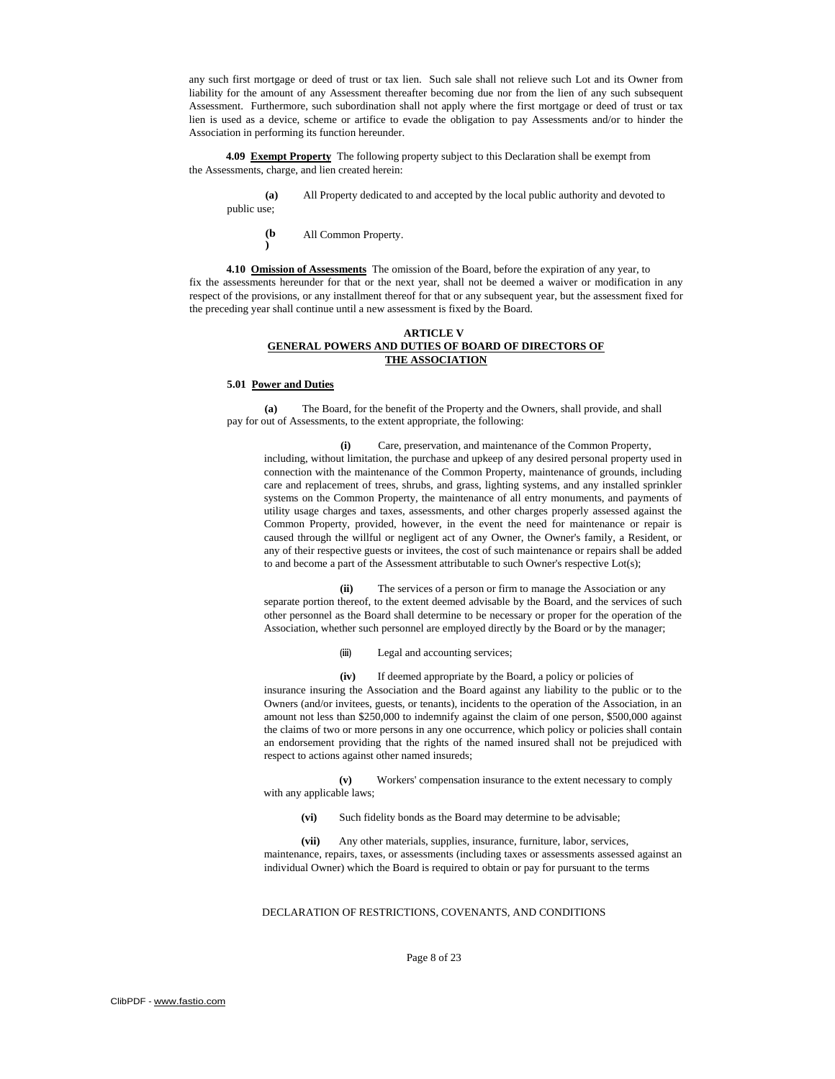any such first mortgage or deed of trust or tax lien. Such sale shall not relieve such Lot and its Owner from liability for the amount of any Assessment thereafter becoming due nor from the lien of any such subsequent Assessment. Furthermore, such subordination shall not apply where the first mortgage or deed of trust or tax lien is used as a device, scheme or artifice to evade the obligation to pay Assessments and/or to hinder the Association in performing its function hereunder.

**4.09 Exempt Property** The following property subject to this Declaration shall be exempt from the Assessments, charge, and lien created herein:

**(a)** public use; All Property dedicated to and accepted by the local public authority and devoted to

**(b )**  All Common Property.

**4.10 Omission of Assessments** The omission of the Board, before the expiration of any year, to fix the assessments hereunder for that or the next year, shall not be deemed a waiver or modification in any respect of the provisions, or any installment thereof for that or any subsequent year, but the assessment fixed for the preceding year shall continue until a new assessment is fixed by the Board.

#### **ARTICLE V GENERAL POWERS AND DUTIES OF BOARD OF DIRECTORS OF THE ASSOCIATION**

#### **5.01 Power and Duties**

**(a)** The Board, for the benefit of the Property and the Owners, shall provide, and shall pay for out of Assessments, to the extent appropriate, the following:

**(i)** Care, preservation, and maintenance of the Common Property, including, without limitation, the purchase and upkeep of any desired personal property used in connection with the maintenance of the Common Property, maintenance of grounds, including care and replacement of trees, shrubs, and grass, lighting systems, and any installed sprinkler systems on the Common Property, the maintenance of all entry monuments, and payments of utility usage charges and taxes, assessments, and other charges properly assessed against the Common Property, provided, however, in the event the need for maintenance or repair is caused through the willful or negligent act of any Owner, the Owner's family, a Resident, or any of their respective guests or invitees, the cost of such maintenance or repairs shall be added to and become a part of the Assessment attributable to such Owner's respective Lot(s);

**(ii)** The services of a person or firm to manage the Association or any separate portion thereof, to the extent deemed advisable by the Board, and the services of such other personnel as the Board shall determine to be necessary or proper for the operation of the Association, whether such personnel are employed directly by the Board or by the manager;

**(iii)** Legal and accounting services;

**(iv)** If deemed appropriate by the Board, a policy or policies of insurance insuring the Association and the Board against any liability to the public or to the Owners (and/or invitees, guests, or tenants), incidents to the operation of the Association, in an amount not less than \$250,000 to indemnify against the claim of one person, \$500,000 against the claims of two or more persons in any one occurrence, which policy or policies shall contain an endorsement providing that the rights of the named insured shall not be prejudiced with respect to actions against other named insureds;

**(v)** Workers' compensation insurance to the extent necessary to comply with any applicable laws;

**(vi)** Such fidelity bonds as the Board may determine to be advisable;

**(vii)** Any other materials, supplies, insurance, furniture, labor, services, maintenance, repairs, taxes, or assessments (including taxes or assessments assessed against an individual Owner) which the Board is required to obtain or pay for pursuant to the terms

#### DECLARATION OF RESTRICTIONS, COVENANTS, AND CONDITIONS

Page 8 of 23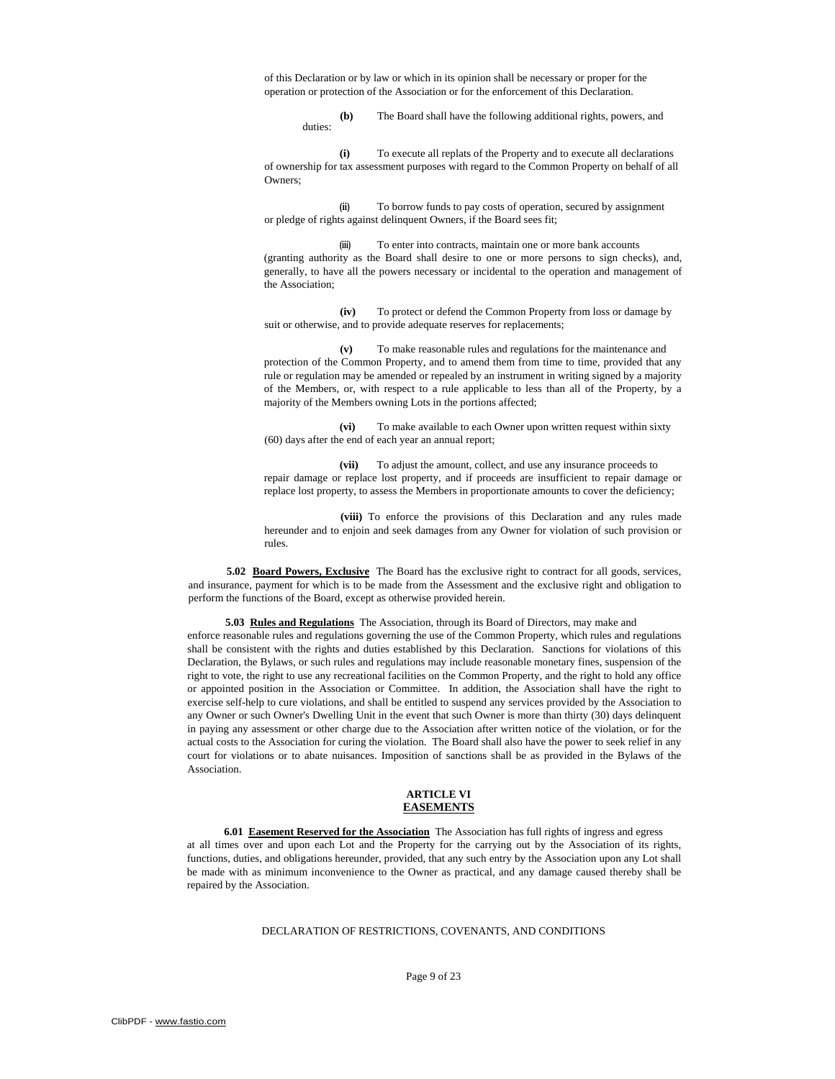of this Declaration or by law or which in its opinion shall be necessary or proper for the operation or protection of the Association or for the enforcement of this Declaration.

> **(b)** The Board shall have the following additional rights, powers, and duties:

**(i)** To execute all replats of the Property and to execute all declarations of ownership for tax assessment purposes with regard to the Common Property on behalf of all Owners;

**(ii)** To borrow funds to pay costs of operation, secured by assignment or pledge of rights against delinquent Owners, if the Board sees fit;

**(iii)** To enter into contracts, maintain one or more bank accounts (granting authority as the Board shall desire to one or more persons to sign checks), and, generally, to have all the powers necessary or incidental to the operation and management of the Association;

**(iv)** To protect or defend the Common Property from loss or damage by suit or otherwise, and to provide adequate reserves for replacements;

**(v)** To make reasonable rules and regulations for the maintenance and protection of the Common Property, and to amend them from time to time, provided that any rule or regulation may be amended or repealed by an instrument in writing signed by a majority of the Members, or, with respect to a rule applicable to less than all of the Property, by a majority of the Members owning Lots in the portions affected;

**(vi)** To make available to each Owner upon written request within sixty (60) days after the end of each year an annual report;

**(vii)** To adjust the amount, collect, and use any insurance proceeds to repair damage or replace lost property, and if proceeds are insufficient to repair damage or replace lost property, to assess the Members in proportionate amounts to cover the deficiency;

**(viii)** To enforce the provisions of this Declaration and any rules made hereunder and to enjoin and seek damages from any Owner for violation of such provision or rules.

**5.02 Board Powers, Exclusive** The Board has the exclusive right to contract for all goods, services, and insurance, payment for which is to be made from the Assessment and the exclusive right and obligation to perform the functions of the Board, except as otherwise provided herein.

**5.03 Rules and Regulations** The Association, through its Board of Directors, may make and enforce reasonable rules and regulations governing the use of the Common Property, which rules and regulations shall be consistent with the rights and duties established by this Declaration. Sanctions for violations of this Declaration, the Bylaws, or such rules and regulations may include reasonable monetary fines, suspension of the right to vote, the right to use any recreational facilities on the Common Property, and the right to hold any office or appointed position in the Association or Committee. In addition, the Association shall have the right to exercise self-help to cure violations, and shall be entitled to suspend any services provided by the Association to any Owner or such Owner's Dwelling Unit in the event that such Owner is more than thirty (30) days delinquent in paying any assessment or other charge due to the Association after written notice of the violation, or for the actual costs to the Association for curing the violation. The Board shall also have the power to seek relief in any court for violations or to abate nuisances. Imposition of sanctions shall be as provided in the Bylaws of the Association.

#### **ARTICLE VI EASEMENTS**

**6.01 Easement Reserved for the Association** The Association has full rights of ingress and egress at all times over and upon each Lot and the Property for the carrying out by the Association of its rights, functions, duties, and obligations hereunder, provided, that any such entry by the Association upon any Lot shall be made with as minimum inconvenience to the Owner as practical, and any damage caused thereby shall be repaired by the Association.

### DECLARATION OF RESTRICTIONS, COVENANTS, AND CONDITIONS

Page 9 of 23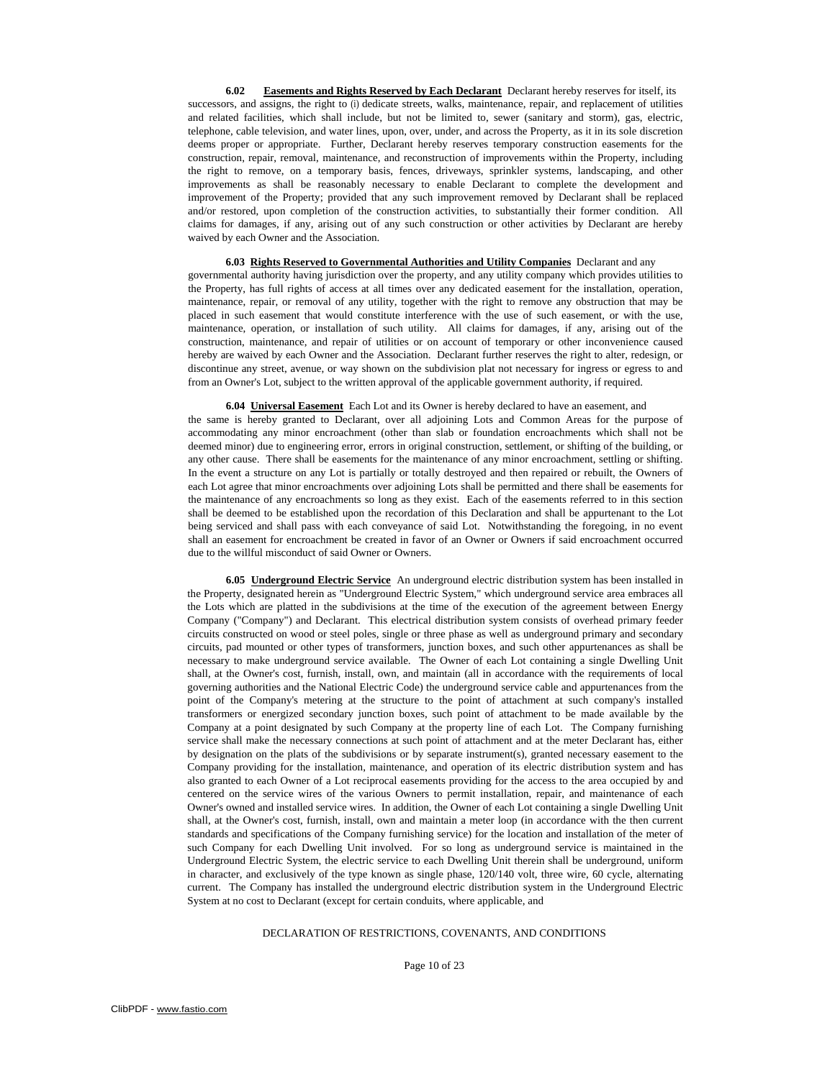**6.02 Easements and Rights Reserved by Each Declarant** Declarant hereby reserves for itself, its successors, and assigns, the right to (i) dedicate streets, walks, maintenance, repair, and replacement of utilities and related facilities, which shall include, but not be limited to, sewer (sanitary and storm), gas, electric, telephone, cable television, and water lines, upon, over, under, and across the Property, as it in its sole discretion deems proper or appropriate. Further, Declarant hereby reserves temporary construction easements for the construction, repair, removal, maintenance, and reconstruction of improvements within the Property, including the right to remove, on a temporary basis, fences, driveways, sprinkler systems, landscaping, and other improvements as shall be reasonably necessary to enable Declarant to complete the development and improvement of the Property; provided that any such improvement removed by Declarant shall be replaced and/or restored, upon completion of the construction activities, to substantially their former condition. All claims for damages, if any, arising out of any such construction or other activities by Declarant are hereby waived by each Owner and the Association.

**6.03 Rights Reserved to Governmental Authorities and Utility Companies** Declarant and any governmental authority having jurisdiction over the property, and any utility company which provides utilities to the Property, has full rights of access at all times over any dedicated easement for the installation, operation, maintenance, repair, or removal of any utility, together with the right to remove any obstruction that may be placed in such easement that would constitute interference with the use of such easement, or with the use, maintenance, operation, or installation of such utility. All claims for damages, if any, arising out of the construction, maintenance, and repair of utilities or on account of temporary or other inconvenience caused hereby are waived by each Owner and the Association. Declarant further reserves the right to alter, redesign, or discontinue any street, avenue, or way shown on the subdivision plat not necessary for ingress or egress to and from an Owner's Lot, subject to the written approval of the applicable government authority, if required.

**6.04 Universal Easement** Each Lot and its Owner is hereby declared to have an easement, and the same is hereby granted to Declarant, over all adjoining Lots and Common Areas for the purpose of accommodating any minor encroachment (other than slab or foundation encroachments which shall not be deemed minor) due to engineering error, errors in original construction, settlement, or shifting of the building, or any other cause. There shall be easements for the maintenance of any minor encroachment, settling or shifting. In the event a structure on any Lot is partially or totally destroyed and then repaired or rebuilt, the Owners of each Lot agree that minor encroachments over adjoining Lots shall be permitted and there shall be easements for the maintenance of any encroachments so long as they exist. Each of the easements referred to in this section shall be deemed to be established upon the recordation of this Declaration and shall be appurtenant to the Lot being serviced and shall pass with each conveyance of said Lot. Notwithstanding the foregoing, in no event shall an easement for encroachment be created in favor of an Owner or Owners if said encroachment occurred due to the willful misconduct of said Owner or Owners.

**6.05 Underground Electric Service** An underground electric distribution system has been installed in the Property, designated herein as "Underground Electric System," which underground service area embraces all the Lots which are platted in the subdivisions at the time of the execution of the agreement between Energy Company ("Company") and Declarant. This electrical distribution system consists of overhead primary feeder circuits constructed on wood or steel poles, single or three phase as well as underground primary and secondary circuits, pad mounted or other types of transformers, junction boxes, and such other appurtenances as shall be necessary to make underground service available. The Owner of each Lot containing a single Dwelling Unit shall, at the Owner's cost, furnish, install, own, and maintain (all in accordance with the requirements of local governing authorities and the National Electric Code) the underground service cable and appurtenances from the point of the Company's metering at the structure to the point of attachment at such company's installed transformers or energized secondary junction boxes, such point of attachment to be made available by the Company at a point designated by such Company at the property line of each Lot. The Company furnishing service shall make the necessary connections at such point of attachment and at the meter Declarant has, either by designation on the plats of the subdivisions or by separate instrument(s), granted necessary easement to the Company providing for the installation, maintenance, and operation of its electric distribution system and has also granted to each Owner of a Lot reciprocal easements providing for the access to the area occupied by and centered on the service wires of the various Owners to permit installation, repair, and maintenance of each Owner's owned and installed service wires. In addition, the Owner of each Lot containing a single Dwelling Unit shall, at the Owner's cost, furnish, install, own and maintain a meter loop (in accordance with the then current standards and specifications of the Company furnishing service) for the location and installation of the meter of such Company for each Dwelling Unit involved. For so long as underground service is maintained in the Underground Electric System, the electric service to each Dwelling Unit therein shall be underground, uniform in character, and exclusively of the type known as single phase, 120/140 volt, three wire, 60 cycle, alternating current. The Company has installed the underground electric distribution system in the Underground Electric System at no cost to Declarant (except for certain conduits, where applicable, and

## DECLARATION OF RESTRICTIONS, COVENANTS, AND CONDITIONS

Page 10 of 23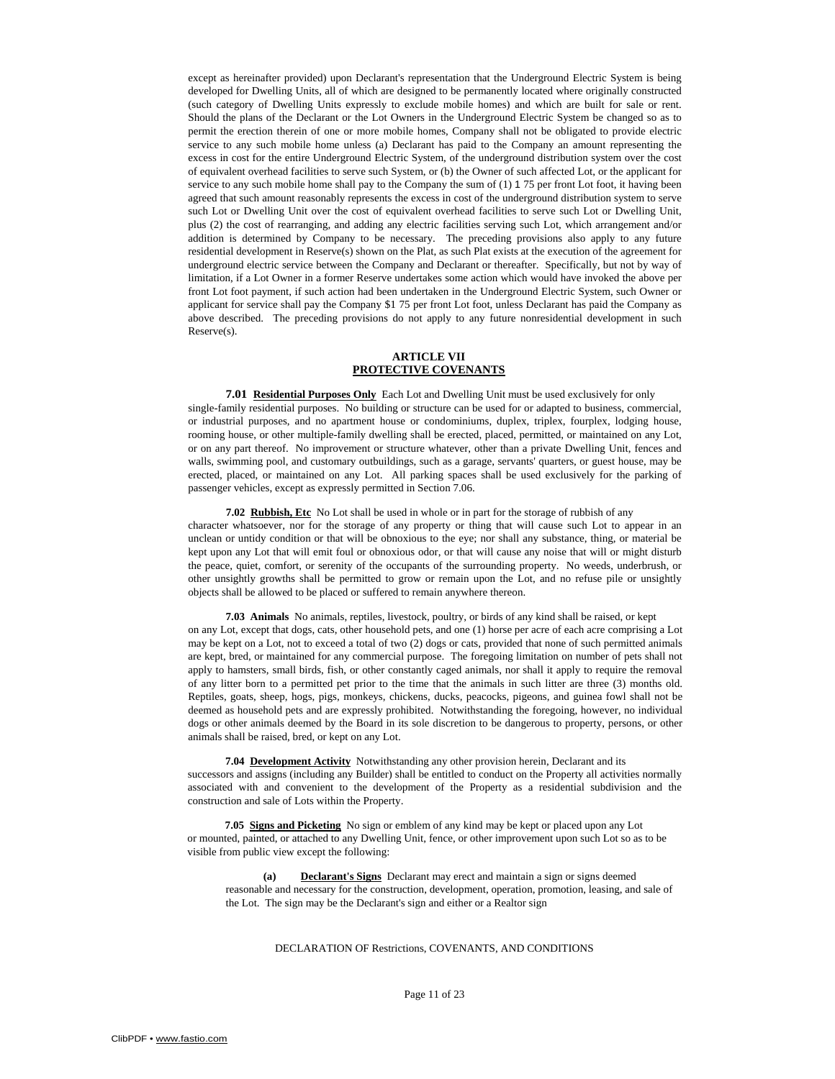except as hereinafter provided) upon Declarant's representation that the Underground Electric System is being developed for Dwelling Units, all of which are designed to be permanently located where originally constructed (such category of Dwelling Units expressly to exclude mobile homes) and which are built for sale or rent. Should the plans of the Declarant or the Lot Owners in the Underground Electric System be changed so as to permit the erection therein of one or more mobile homes, Company shall not be obligated to provide electric service to any such mobile home unless (a) Declarant has paid to the Company an amount representing the excess in cost for the entire Underground Electric System, of the underground distribution system over the cost of equivalent overhead facilities to serve such System, or (b) the Owner of such affected Lot, or the applicant for service to any such mobile home shall pay to the Company the sum of (1) 1 75 per front Lot foot, it having been agreed that such amount reasonably represents the excess in cost of the underground distribution system to serve such Lot or Dwelling Unit over the cost of equivalent overhead facilities to serve such Lot or Dwelling Unit, plus (2) the cost of rearranging, and adding any electric facilities serving such Lot, which arrangement and/or addition is determined by Company to be necessary. The preceding provisions also apply to any future residential development in Reserve(s) shown on the Plat, as such Plat exists at the execution of the agreement for underground electric service between the Company and Declarant or thereafter. Specifically, but not by way of limitation, if a Lot Owner in a former Reserve undertakes some action which would have invoked the above per front Lot foot payment, if such action had been undertaken in the Underground Electric System, such Owner or applicant for service shall pay the Company \$1 75 per front Lot foot, unless Declarant has paid the Company as above described. The preceding provisions do not apply to any future nonresidential development in such Reserve(s).

## **ARTICLE VII PROTECTIVE COVENANTS**

**7.01 Residential Purposes Only** Each Lot and Dwelling Unit must be used exclusively for only single-family residential purposes. No building or structure can be used for or adapted to business, commercial, or industrial purposes, and no apartment house or condominiums, duplex, triplex, fourplex, lodging house, rooming house, or other multiple-family dwelling shall be erected, placed, permitted, or maintained on any Lot, or on any part thereof. No improvement or structure whatever, other than a private Dwelling Unit, fences and walls, swimming pool, and customary outbuildings, such as a garage, servants' quarters, or guest house, may be erected, placed, or maintained on any Lot. All parking spaces shall be used exclusively for the parking of passenger vehicles, except as expressly permitted in Section 7.06.

**7.02 Rubbish, Etc** No Lot shall be used in whole or in part for the storage of rubbish of any character whatsoever, nor for the storage of any property or thing that will cause such Lot to appear in an unclean or untidy condition or that will be obnoxious to the eye; nor shall any substance, thing, or material be kept upon any Lot that will emit foul or obnoxious odor, or that will cause any noise that will or might disturb the peace, quiet, comfort, or serenity of the occupants of the surrounding property. No weeds, underbrush, or other unsightly growths shall be permitted to grow or remain upon the Lot, and no refuse pile or unsightly objects shall be allowed to be placed or suffered to remain anywhere thereon.

**7.03 Animals** No animals, reptiles, livestock, poultry, or birds of any kind shall be raised, or kept on any Lot, except that dogs, cats, other household pets, and one (1) horse per acre of each acre comprising a Lot may be kept on a Lot, not to exceed a total of two (2) dogs or cats, provided that none of such permitted animals are kept, bred, or maintained for any commercial purpose. The foregoing limitation on number of pets shall not apply to hamsters, small birds, fish, or other constantly caged animals, nor shall it apply to require the removal of any litter born to a permitted pet prior to the time that the animals in such litter are three (3) months old. Reptiles, goats, sheep, hogs, pigs, monkeys, chickens, ducks, peacocks, pigeons, and guinea fowl shall not be deemed as household pets and are expressly prohibited. Notwithstanding the foregoing, however, no individual dogs or other animals deemed by the Board in its sole discretion to be dangerous to property, persons, or other animals shall be raised, bred, or kept on any Lot.

**7.04 Development Activity** Notwithstanding any other provision herein, Declarant and its successors and assigns (including any Builder) shall be entitled to conduct on the Property all activities normally associated with and convenient to the development of the Property as a residential subdivision and the construction and sale of Lots within the Property.

**7.05 Signs and Picketing** No sign or emblem of any kind may be kept or placed upon any Lot or mounted, painted, or attached to any Dwelling Unit, fence, or other improvement upon such Lot so as to be visible from public view except the following:

**(a) Declarant's Signs** Declarant may erect and maintain a sign or signs deemed reasonable and necessary for the construction, development, operation, promotion, leasing, and sale of the Lot. The sign may be the Declarant's sign and either or a Realtor sign

#### DECLARATION OF Restrictions, COVENANTS, AND CONDITIONS

Page 11 of 23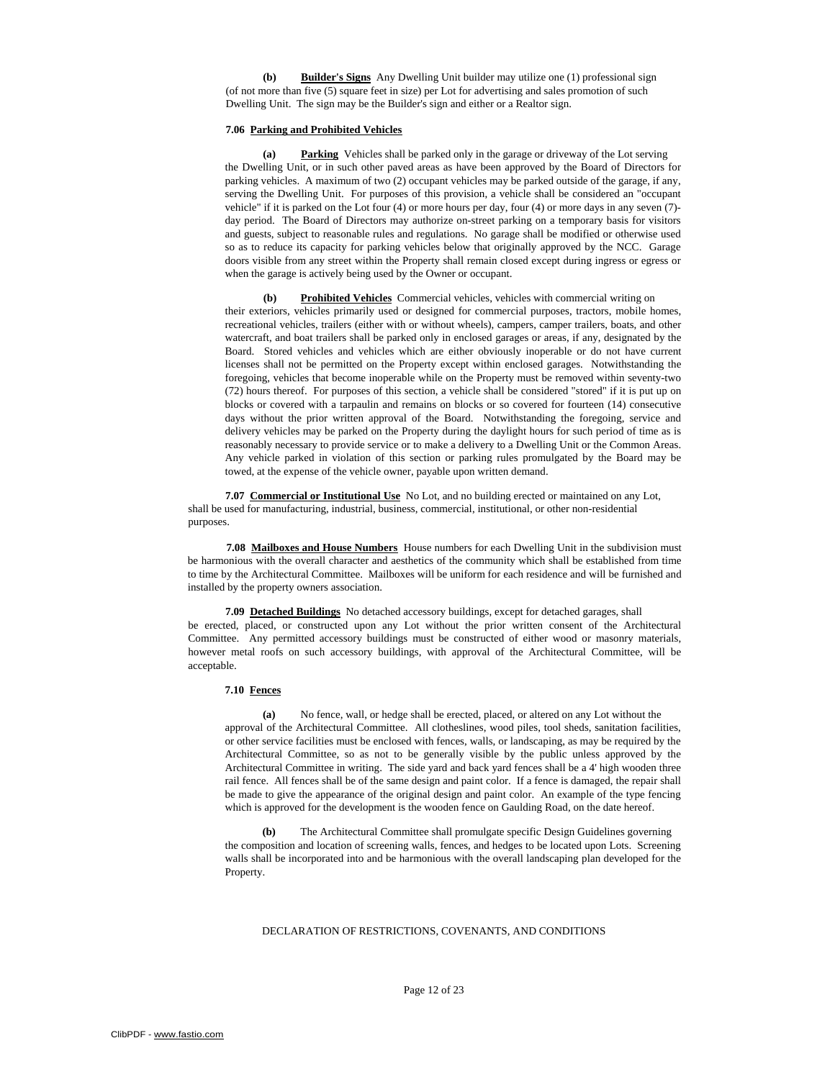**(b) Builder's Signs** Any Dwelling Unit builder may utilize one (1) professional sign (of not more than five (5) square feet in size) per Lot for advertising and sales promotion of such Dwelling Unit. The sign may be the Builder's sign and either or a Realtor sign.

## **7.06 Parking and Prohibited Vehicles**

**(a) Parking** Vehicles shall be parked only in the garage or driveway of the Lot serving the Dwelling Unit, or in such other paved areas as have been approved by the Board of Directors for parking vehicles. A maximum of two (2) occupant vehicles may be parked outside of the garage, if any, serving the Dwelling Unit. For purposes of this provision, a vehicle shall be considered an "occupant vehicle" if it is parked on the Lot four (4) or more hours per day, four (4) or more days in any seven (7) day period. The Board of Directors may authorize on-street parking on a temporary basis for visitors and guests, subject to reasonable rules and regulations. No garage shall be modified or otherwise used so as to reduce its capacity for parking vehicles below that originally approved by the NCC. Garage doors visible from any street within the Property shall remain closed except during ingress or egress or when the garage is actively being used by the Owner or occupant.

**(b) Prohibited Vehicles** Commercial vehicles, vehicles with commercial writing on their exteriors, vehicles primarily used or designed for commercial purposes, tractors, mobile homes, recreational vehicles, trailers (either with or without wheels), campers, camper trailers, boats, and other watercraft, and boat trailers shall be parked only in enclosed garages or areas, if any, designated by the Board. Stored vehicles and vehicles which are either obviously inoperable or do not have current licenses shall not be permitted on the Property except within enclosed garages. Notwithstanding the foregoing, vehicles that become inoperable while on the Property must be removed within seventy-two (72) hours thereof. For purposes of this section, a vehicle shall be considered "stored" if it is put up on blocks or covered with a tarpaulin and remains on blocks or so covered for fourteen (14) consecutive days without the prior written approval of the Board. Notwithstanding the foregoing, service and delivery vehicles may be parked on the Property during the daylight hours for such period of time as is reasonably necessary to provide service or to make a delivery to a Dwelling Unit or the Common Areas. Any vehicle parked in violation of this section or parking rules promulgated by the Board may be towed, at the expense of the vehicle owner, payable upon written demand.

**7.07 Commercial or Institutional Use** No Lot, and no building erected or maintained on any Lot, shall be used for manufacturing, industrial, business, commercial, institutional, or other non-residential purposes.

**7.08 Mailboxes and House Numbers** House numbers for each Dwelling Unit in the subdivision must be harmonious with the overall character and aesthetics of the community which shall be established from time to time by the Architectural Committee. Mailboxes will be uniform for each residence and will be furnished and installed by the property owners association.

**7.09 Detached Buildings** No detached accessory buildings, except for detached garages, shall be erected, placed, or constructed upon any Lot without the prior written consent of the Architectural Committee. Any permitted accessory buildings must be constructed of either wood or masonry materials, however metal roofs on such accessory buildings, with approval of the Architectural Committee, will be acceptable.

## **7.10 Fences**

No fence, wall, or hedge shall be erected, placed, or altered on any Lot without the approval of the Architectural Committee. All clotheslines, wood piles, tool sheds, sanitation facilities, or other service facilities must be enclosed with fences, walls, or landscaping, as may be required by the Architectural Committee, so as not to be generally visible by the public unless approved by the Architectural Committee in writing. The side yard and back yard fences shall be a 4' high wooden three rail fence. All fences shall be of the same design and paint color. If a fence is damaged, the repair shall be made to give the appearance of the original design and paint color. An example of the type fencing which is approved for the development is the wooden fence on Gaulding Road, on the date hereof.

**(b)** The Architectural Committee shall promulgate specific Design Guidelines governing the composition and location of screening walls, fences, and hedges to be located upon Lots. Screening walls shall be incorporated into and be harmonious with the overall landscaping plan developed for the Property.

#### DECLARATION OF RESTRICTIONS, COVENANTS, AND CONDITIONS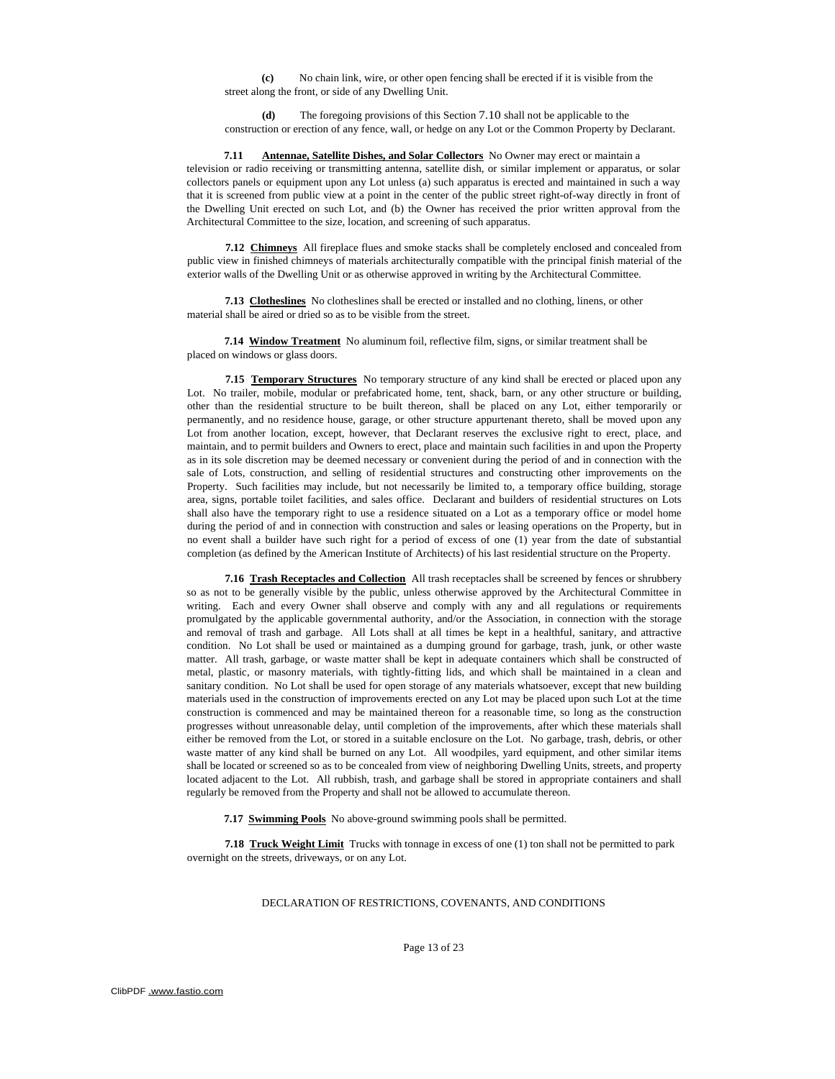**(c)** No chain link, wire, or other open fencing shall be erected if it is visible from the street along the front, or side of any Dwelling Unit.

**(d)** The foregoing provisions of this Section 7.10 shall not be applicable to the construction or erection of any fence, wall, or hedge on any Lot or the Common Property by Declarant.

**7.11 Antennae, Satellite Dishes, and Solar Collectors** No Owner may erect or maintain a television or radio receiving or transmitting antenna, satellite dish, or similar implement or apparatus, or solar collectors panels or equipment upon any Lot unless (a) such apparatus is erected and maintained in such a way that it is screened from public view at a point in the center of the public street right-of-way directly in front of the Dwelling Unit erected on such Lot, and (b) the Owner has received the prior written approval from the Architectural Committee to the size, location, and screening of such apparatus.

**7.12 Chimneys** All fireplace flues and smoke stacks shall be completely enclosed and concealed from public view in finished chimneys of materials architecturally compatible with the principal finish material of the exterior walls of the Dwelling Unit or as otherwise approved in writing by the Architectural Committee.

**7.13 Clotheslines** No clotheslines shall be erected or installed and no clothing, linens, or other material shall be aired or dried so as to be visible from the street.

**7.14 Window Treatment** No aluminum foil, reflective film, signs, or similar treatment shall be placed on windows or glass doors.

**7.15 Temporary Structures** No temporary structure of any kind shall be erected or placed upon any Lot. No trailer, mobile, modular or prefabricated home, tent, shack, barn, or any other structure or building, other than the residential structure to be built thereon, shall be placed on any Lot, either temporarily or permanently, and no residence house, garage, or other structure appurtenant thereto, shall be moved upon any Lot from another location, except, however, that Declarant reserves the exclusive right to erect, place, and maintain, and to permit builders and Owners to erect, place and maintain such facilities in and upon the Property as in its sole discretion may be deemed necessary or convenient during the period of and in connection with the sale of Lots, construction, and selling of residential structures and constructing other improvements on the Property. Such facilities may include, but not necessarily be limited to, a temporary office building, storage area, signs, portable toilet facilities, and sales office. Declarant and builders of residential structures on Lots shall also have the temporary right to use a residence situated on a Lot as a temporary office or model home during the period of and in connection with construction and sales or leasing operations on the Property, but in no event shall a builder have such right for a period of excess of one (1) year from the date of substantial completion (as defined by the American Institute of Architects) of his last residential structure on the Property.

**7.16 Trash Receptacles and Collection** All trash receptacles shall be screened by fences or shrubbery so as not to be generally visible by the public, unless otherwise approved by the Architectural Committee in writing. Each and every Owner shall observe and comply with any and all regulations or requirements promulgated by the applicable governmental authority, and/or the Association, in connection with the storage and removal of trash and garbage. All Lots shall at all times be kept in a healthful, sanitary, and attractive condition. No Lot shall be used or maintained as a dumping ground for garbage, trash, junk, or other waste matter. All trash, garbage, or waste matter shall be kept in adequate containers which shall be constructed of metal, plastic, or masonry materials, with tightly-fitting lids, and which shall be maintained in a clean and sanitary condition. No Lot shall be used for open storage of any materials whatsoever, except that new building materials used in the construction of improvements erected on any Lot may be placed upon such Lot at the time construction is commenced and may be maintained thereon for a reasonable time, so long as the construction progresses without unreasonable delay, until completion of the improvements, after which these materials shall either be removed from the Lot, or stored in a suitable enclosure on the Lot. No garbage, trash, debris, or other waste matter of any kind shall be burned on any Lot. All woodpiles, yard equipment, and other similar items shall be located or screened so as to be concealed from view of neighboring Dwelling Units, streets, and property located adjacent to the Lot. All rubbish, trash, and garbage shall be stored in appropriate containers and shall regularly be removed from the Property and shall not be allowed to accumulate thereon.

**7.17 Swimming Pools** No above-ground swimming pools shall be permitted.

**7.18 Truck Weight Limit** Trucks with tonnage in excess of one (1) ton shall not be permitted to park overnight on the streets, driveways, or on any Lot.

DECLARATION OF RESTRICTIONS, COVENANTS, AND CONDITIONS

Page 13 of 23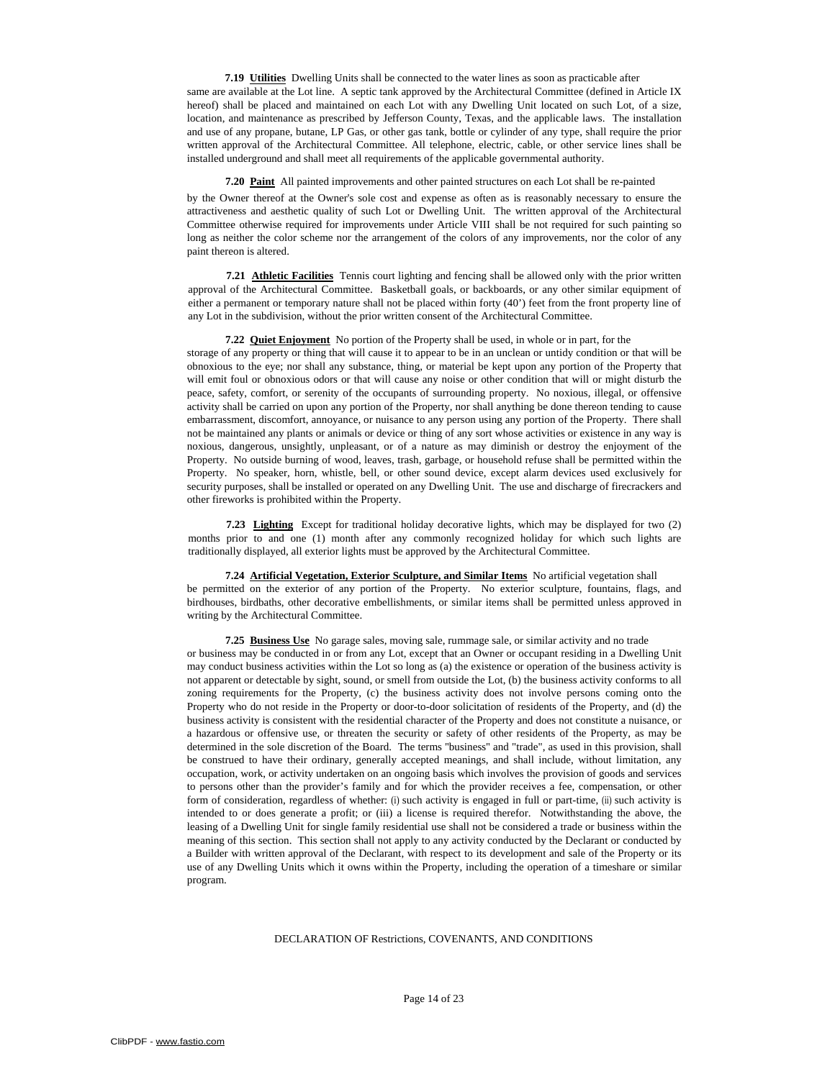**7.19 Utilities** Dwelling Units shall be connected to the water lines as soon as practicable after same are available at the Lot line. A septic tank approved by the Architectural Committee (defined in Article IX hereof) shall be placed and maintained on each Lot with any Dwelling Unit located on such Lot, of a size, location, and maintenance as prescribed by Jefferson County, Texas, and the applicable laws. The installation and use of any propane, butane, LP Gas, or other gas tank, bottle or cylinder of any type, shall require the prior written approval of the Architectural Committee. All telephone, electric, cable, or other service lines shall be installed underground and shall meet all requirements of the applicable governmental authority.

**7.20 Paint** All painted improvements and other painted structures on each Lot shall be re-painted by the Owner thereof at the Owner's sole cost and expense as often as is reasonably necessary to ensure the attractiveness and aesthetic quality of such Lot or Dwelling Unit. The written approval of the Architectural Committee otherwise required for improvements under Article VIII shall be not required for such painting so long as neither the color scheme nor the arrangement of the colors of any improvements, nor the color of any paint thereon is altered.

**7.21 Athletic Facilities** Tennis court lighting and fencing shall be allowed only with the prior written approval of the Architectural Committee. Basketball goals, or backboards, or any other similar equipment of either a permanent or temporary nature shall not be placed within forty (40') feet from the front property line of any Lot in the subdivision, without the prior written consent of the Architectural Committee.

**7.22 Quiet Enjoyment** No portion of the Property shall be used, in whole or in part, for the storage of any property or thing that will cause it to appear to be in an unclean or untidy condition or that will be obnoxious to the eye; nor shall any substance, thing, or material be kept upon any portion of the Property that will emit foul or obnoxious odors or that will cause any noise or other condition that will or might disturb the peace, safety, comfort, or serenity of the occupants of surrounding property. No noxious, illegal, or offensive activity shall be carried on upon any portion of the Property, nor shall anything be done thereon tending to cause embarrassment, discomfort, annoyance, or nuisance to any person using any portion of the Property. There shall not be maintained any plants or animals or device or thing of any sort whose activities or existence in any way is noxious, dangerous, unsightly, unpleasant, or of a nature as may diminish or destroy the enjoyment of the Property. No outside burning of wood, leaves, trash, garbage, or household refuse shall be permitted within the Property. No speaker, horn, whistle, bell, or other sound device, except alarm devices used exclusively for security purposes, shall be installed or operated on any Dwelling Unit. The use and discharge of firecrackers and other fireworks is prohibited within the Property.

**7.23 Lighting** Except for traditional holiday decorative lights, which may be displayed for two (2) months prior to and one (1) month after any commonly recognized holiday for which such lights are traditionally displayed, all exterior lights must be approved by the Architectural Committee.

**7.24 Artificial Vegetation, Exterior Sculpture, and Similar Items** No artificial vegetation shall be permitted on the exterior of any portion of the Property. No exterior sculpture, fountains, flags, and birdhouses, birdbaths, other decorative embellishments, or similar items shall be permitted unless approved in writing by the Architectural Committee.

**7.25 Business Use** No garage sales, moving sale, rummage sale, or similar activity and no trade or business may be conducted in or from any Lot, except that an Owner or occupant residing in a Dwelling Unit may conduct business activities within the Lot so long as (a) the existence or operation of the business activity is not apparent or detectable by sight, sound, or smell from outside the Lot, (b) the business activity conforms to all zoning requirements for the Property, (c) the business activity does not involve persons coming onto the Property who do not reside in the Property or door-to-door solicitation of residents of the Property, and (d) the business activity is consistent with the residential character of the Property and does not constitute a nuisance, or a hazardous or offensive use, or threaten the security or safety of other residents of the Property, as may be determined in the sole discretion of the Board. The terms ''business'' and "trade", as used in this provision, shall be construed to have their ordinary, generally accepted meanings, and shall include, without limitation, any occupation, work, or activity undertaken on an ongoing basis which involves the provision of goods and services to persons other than the provider's family and for which the provider receives a fee, compensation, or other form of consideration, regardless of whether: (i) such activity is engaged in full or part-time, (ii) such activity is intended to or does generate a profit; or (iii) a license is required therefor. Notwithstanding the above, the leasing of a Dwelling Unit for single family residential use shall not be considered a trade or business within the meaning of this section. This section shall not apply to any activity conducted by the Declarant or conducted by a Builder with written approval of the Declarant, with respect to its development and sale of the Property or its use of any Dwelling Units which it owns within the Property, including the operation of a timeshare or similar program.

#### DECLARATION OF Restrictions, COVENANTS, AND CONDITIONS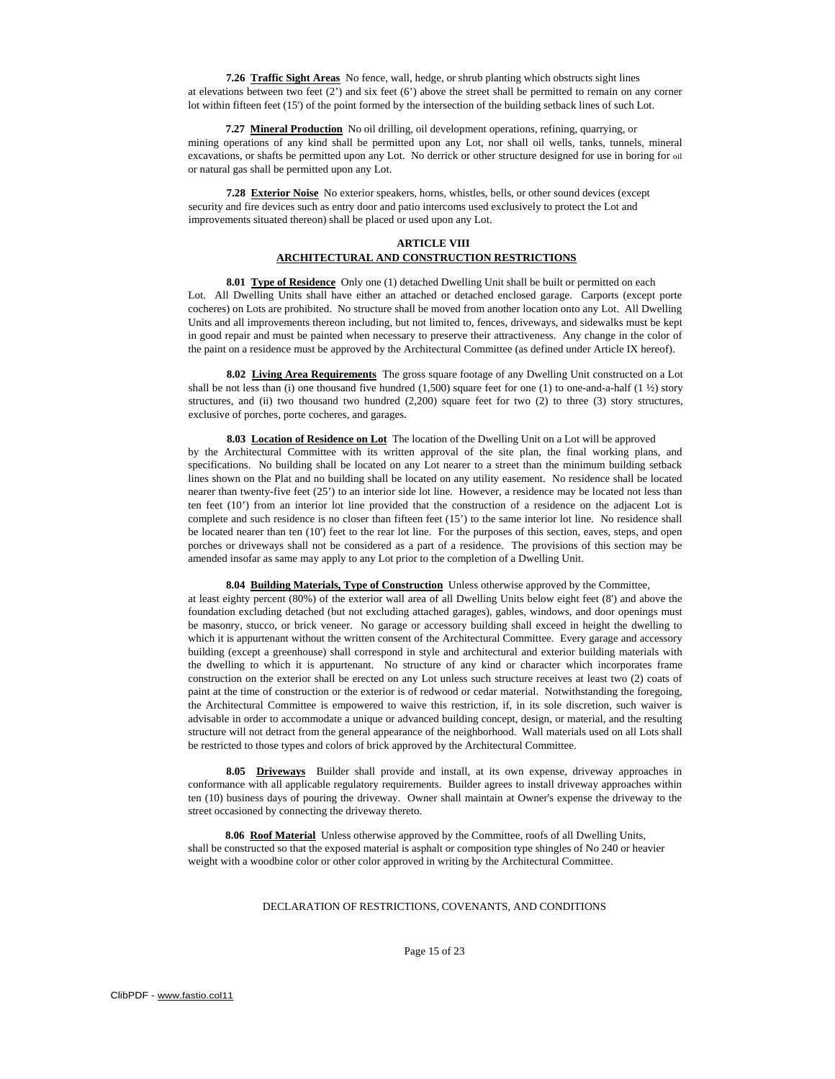**7.26 Traffic Sight Areas** No fence, wall, hedge, or shrub planting which obstructs sight lines at elevations between two feet (2') and six feet (6') above the street shall be permitted to remain on any corner lot within fifteen feet (15') of the point formed by the intersection of the building setback lines of such Lot.

**7.27 Mineral Production** No oil drilling, oil development operations, refining, quarrying, or mining operations of any kind shall be permitted upon any Lot, nor shall oil wells, tanks, tunnels, mineral excavations, or shafts be permitted upon any Lot. No derrick or other structure designed for use in boring for oil or natural gas shall be permitted upon any Lot.

**7.28 Exterior Noise** No exterior speakers, horns, whistles, bells, or other sound devices (except security and fire devices such as entry door and patio intercoms used exclusively to protect the Lot and improvements situated thereon) shall be placed or used upon any Lot.

## **ARTICLE VIII ARCHITECTURAL AND CONSTRUCTION RESTRICTIONS**

8.01 Type of Residence Only one (1) detached Dwelling Unit shall be built or permitted on each Lot. All Dwelling Units shall have either an attached or detached enclosed garage. Carports (except porte cocheres) on Lots are prohibited. No structure shall be moved from another location onto any Lot. All Dwelling Units and all improvements thereon including, but not limited to, fences, driveways, and sidewalks must be kept in good repair and must be painted when necessary to preserve their attractiveness. Any change in the color of the paint on a residence must be approved by the Architectural Committee (as defined under Article IX hereof).

**8.02 Living Area Requirements** The gross square footage of any Dwelling Unit constructed on a Lot shall be not less than (i) one thousand five hundred (1,500) square feet for one (1) to one-and-a-half (1 ½) story structures, and (ii) two thousand two hundred (2,200) square feet for two (2) to three (3) story structures, exclusive of porches, porte cocheres, and garages.

**8.03 Location of Residence on Lot** The location of the Dwelling Unit on a Lot will be approved by the Architectural Committee with its written approval of the site plan, the final working plans, and specifications. No building shall be located on any Lot nearer to a street than the minimum building setback lines shown on the Plat and no building shall be located on any utility easement. No residence shall be located nearer than twenty-five feet (25') to an interior side lot line. However, a residence may be located not less than ten feet (10') from an interior lot line provided that the construction of a residence on the adjacent Lot is complete and such residence is no closer than fifteen feet (15') to the same interior lot line. No residence shall be located nearer than ten (10') feet to the rear lot line. For the purposes of this section, eaves, steps, and open porches or driveways shall not be considered as a part of a residence. The provisions of this section may be amended insofar as same may apply to any Lot prior to the completion of a Dwelling Unit.

**8.04 Building Materials, Type of Construction** Unless otherwise approved by the Committee,

at least eighty percent (80%) of the exterior wall area of all Dwelling Units below eight feet (8') and above the foundation excluding detached (but not excluding attached garages), gables, windows, and door openings must be masonry, stucco, or brick veneer. No garage or accessory building shall exceed in height the dwelling to which it is appurtenant without the written consent of the Architectural Committee. Every garage and accessory building (except a greenhouse) shall correspond in style and architectural and exterior building materials with the dwelling to which it is appurtenant. No structure of any kind or character which incorporates frame construction on the exterior shall be erected on any Lot unless such structure receives at least two (2) coats of paint at the time of construction or the exterior is of redwood or cedar material. Notwithstanding the foregoing, the Architectural Committee is empowered to waive this restriction, if, in its sole discretion, such waiver is advisable in order to accommodate a unique or advanced building concept, design, or material, and the resulting structure will not detract from the general appearance of the neighborhood. Wall materials used on all Lots shall be restricted to those types and colors of brick approved by the Architectural Committee.

8.05 Driveways Builder shall provide and install, at its own expense, driveway approaches in conformance with all applicable regulatory requirements. Builder agrees to install driveway approaches within ten (10) business days of pouring the driveway. Owner shall maintain at Owner's expense the driveway to the street occasioned by connecting the driveway thereto.

**8.06 Roof Material** Unless otherwise approved by the Committee, roofs of all Dwelling Units, shall be constructed so that the exposed material is asphalt or composition type shingles of No 240 or heavier weight with a woodbine color or other color approved in writing by the Architectural Committee.

## DECLARATION OF RESTRICTIONS, COVENANTS, AND CONDITIONS

Page 15 of 23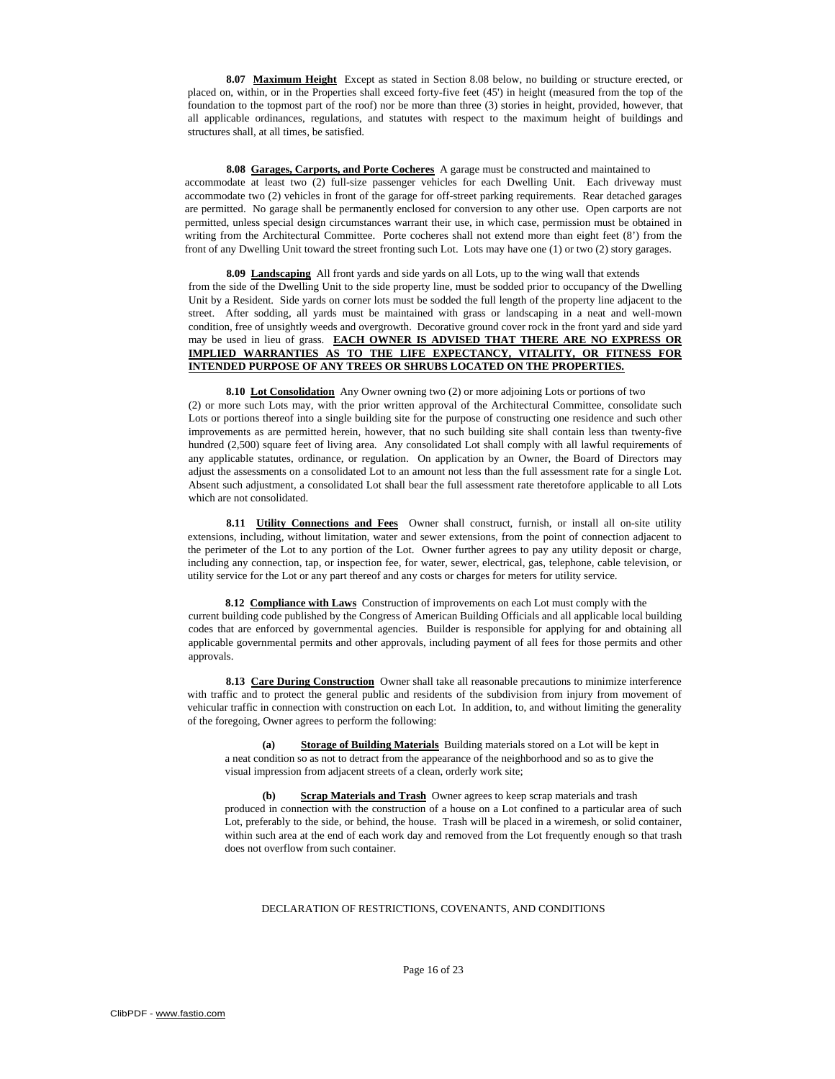**8.07 Maximum Height** Except as stated in Section 8.08 below, no building or structure erected, or placed on, within, or in the Properties shall exceed forty-five feet (45') in height (measured from the top of the foundation to the topmost part of the roof) nor be more than three (3) stories in height, provided, however, that all applicable ordinances, regulations, and statutes with respect to the maximum height of buildings and structures shall, at all times, be satisfied.

**8.08 Garages, Carports, and Porte Cocheres** A garage must be constructed and maintained to accommodate at least two (2) full-size passenger vehicles for each Dwelling Unit. Each driveway must accommodate two (2) vehicles in front of the garage for off-street parking requirements. Rear detached garages are permitted. No garage shall be permanently enclosed for conversion to any other use. Open carports are not permitted, unless special design circumstances warrant their use, in which case, permission must be obtained in writing from the Architectural Committee. Porte cocheres shall not extend more than eight feet (8') from the front of any Dwelling Unit toward the street fronting such Lot. Lots may have one (1) or two (2) story garages.

**8.09 Landscaping** All front yards and side yards on all Lots, up to the wing wall that extends from the side of the Dwelling Unit to the side property line, must be sodded prior to occupancy of the Dwelling Unit by a Resident. Side yards on corner lots must be sodded the full length of the property line adjacent to the street. After sodding, all yards must be maintained with grass or landscaping in a neat and well-mown condition, free of unsightly weeds and overgrowth. Decorative ground cover rock in the front yard and side yard may be used in lieu of grass. **EACH OWNER IS ADVISED THAT THERE ARE NO EXPRESS OR IMPLIED WARRANTIES AS TO THE LIFE EXPECTANCY, VITALITY, OR FITNESS FOR INTENDED PURPOSE OF ANY TREES OR SHRUBS LOCATED ON THE PROPERTIES.**

**8.10 Lot Consolidation** Any Owner owning two (2) or more adjoining Lots or portions of two (2) or more such Lots may, with the prior written approval of the Architectural Committee, consolidate such Lots or portions thereof into a single building site for the purpose of constructing one residence and such other improvements as are permitted herein, however, that no such building site shall contain less than twenty-five hundred (2,500) square feet of living area. Any consolidated Lot shall comply with all lawful requirements of any applicable statutes, ordinance, or regulation. On application by an Owner, the Board of Directors may adjust the assessments on a consolidated Lot to an amount not less than the full assessment rate for a single Lot. Absent such adjustment, a consolidated Lot shall bear the full assessment rate theretofore applicable to all Lots which are not consolidated.

8.11 **Utility Connections and Fees** Owner shall construct, furnish, or install all on-site utility extensions, including, without limitation, water and sewer extensions, from the point of connection adjacent to the perimeter of the Lot to any portion of the Lot. Owner further agrees to pay any utility deposit or charge, including any connection, tap, or inspection fee, for water, sewer, electrical, gas, telephone, cable television, or utility service for the Lot or any part thereof and any costs or charges for meters for utility service.

**8.12 Compliance with Laws** Construction of improvements on each Lot must comply with the current building code published by the Congress of American Building Officials and all applicable local building codes that are enforced by governmental agencies. Builder is responsible for applying for and obtaining all applicable governmental permits and other approvals, including payment of all fees for those permits and other approvals.

**8.13 Care During Construction** Owner shall take all reasonable precautions to minimize interference with traffic and to protect the general public and residents of the subdivision from injury from movement of vehicular traffic in connection with construction on each Lot. In addition, to, and without limiting the generality of the foregoing, Owner agrees to perform the following:

**(a) Storage of Building Materials** Building materials stored on a Lot will be kept in a neat condition so as not to detract from the appearance of the neighborhood and so as to give the visual impression from adjacent streets of a clean, orderly work site;

**<u>Scrap Materials and Trash</u>** Owner agrees to keep scrap materials and trash produced in connection with the construction of a house on a Lot confined to a particular area of such Lot, preferably to the side, or behind, the house. Trash will be placed in a wiremesh, or solid container, within such area at the end of each work day and removed from the Lot frequently enough so that trash does not overflow from such container.

#### DECLARATION OF RESTRICTIONS, COVENANTS, AND CONDITIONS

Page 16 of 23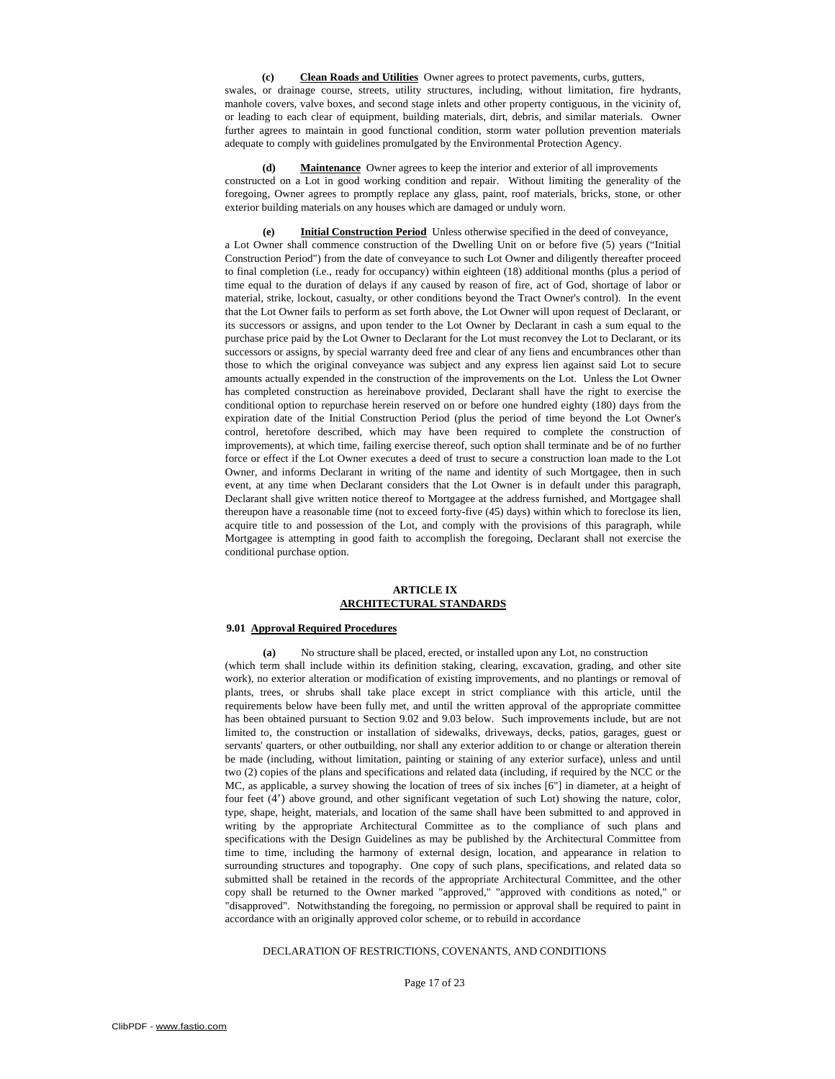**(c) Clean Roads and Utilities** Owner agrees to protect pavements, curbs, gutters, swales, or drainage course, streets, utility structures, including, without limitation, fire hydrants, manhole covers, valve boxes, and second stage inlets and other property contiguous, in the vicinity of, or leading to each clear of equipment, building materials, dirt, debris, and similar materials. Owner further agrees to maintain in good functional condition, storm water pollution prevention materials adequate to comply with guidelines promulgated by the Environmental Protection Agency.

**(d) Maintenance** Owner agrees to keep the interior and exterior of all improvements constructed on a Lot in good working condition and repair. Without limiting the generality of the foregoing, Owner agrees to promptly replace any glass, paint, roof materials, bricks, stone, or other exterior building materials on any houses which are damaged or unduly worn.

**(e) Initial Construction Period** Unless otherwise specified in the deed of conveyance, a Lot Owner shall commence construction of the Dwelling Unit on or before five (5) years ("Initial Construction Period") from the date of conveyance to such Lot Owner and diligently thereafter proceed to final completion (i.e., ready for occupancy) within eighteen (18) additional months (plus a period of time equal to the duration of delays if any caused by reason of fire, act of God, shortage of labor or material, strike, lockout, casualty, or other conditions beyond the Tract Owner's control). In the event that the Lot Owner fails to perform as set forth above, the Lot Owner will upon request of Declarant, or its successors or assigns, and upon tender to the Lot Owner by Declarant in cash a sum equal to the purchase price paid by the Lot Owner to Declarant for the Lot must reconvey the Lot to Declarant, or its successors or assigns, by special warranty deed free and clear of any liens and encumbrances other than those to which the original conveyance was subject and any express lien against said Lot to secure amounts actually expended in the construction of the improvements on the Lot. Unless the Lot Owner has completed construction as hereinabove provided, Declarant shall have the right to exercise the conditional option to repurchase herein reserved on or before one hundred eighty (180) days from the expiration date of the Initial Construction Period (plus the period of time beyond the Lot Owner's control, heretofore described, which may have been required to complete the construction of improvements), at which time, failing exercise thereof, such option shall terminate and be of no further force or effect if the Lot Owner executes a deed of trust to secure a construction loan made to the Lot Owner, and informs Declarant in writing of the name and identity of such Mortgagee, then in such event, at any time when Declarant considers that the Lot Owner is in default under this paragraph, Declarant shall give written notice thereof to Mortgagee at the address furnished, and Mortgagee shall thereupon have a reasonable time (not to exceed forty-five (45) days) within which to foreclose its lien, acquire title to and possession of the Lot, and comply with the provisions of this paragraph, while Mortgagee is attempting in good faith to accomplish the foregoing, Declarant shall not exercise the conditional purchase option.

# **ARTICLE IX ARCHITECTURAL STANDARDS**

### **9.01 Approval Required Procedures**

**(a)** No structure shall be placed, erected, or installed upon any Lot, no construction (which term shall include within its definition staking, clearing, excavation, grading, and other site work), no exterior alteration or modification of existing improvements, and no plantings or removal of plants, trees, or shrubs shall take place except in strict compliance with this article, until the requirements below have been fully met, and until the written approval of the appropriate committee has been obtained pursuant to Section 9.02 and 9.03 below. Such improvements include, but are not limited to, the construction or installation of sidewalks, driveways, decks, patios, garages, guest or servants' quarters, or other outbuilding, nor shall any exterior addition to or change or alteration therein be made (including, without limitation, painting or staining of any exterior surface), unless and until two (2) copies of the plans and specifications and related data (including, if required by the NCC or the MC, as applicable, a survey showing the location of trees of six inches [6"] in diameter, at a height of four feet (4') above ground, and other significant vegetation of such Lot) showing the nature, color, type, shape, height, materials, and location of the same shall have been submitted to and approved in writing by the appropriate Architectural Committee as to the compliance of such plans and specifications with the Design Guidelines as may be published by the Architectural Committee from time to time, including the harmony of external design, location, and appearance in relation to surrounding structures and topography. One copy of such plans, specifications, and related data so submitted shall be retained in the records of the appropriate Architectural Committee, and the other copy shall be returned to the Owner marked "approved," "approved with conditions as noted," or "disapproved". Notwithstanding the foregoing, no permission or approval shall be required to paint in accordance with an originally approved color scheme, or to rebuild in accordance

## DECLARATION OF RESTRICTIONS, COVENANTS, AND CONDITIONS

Page 17 of 23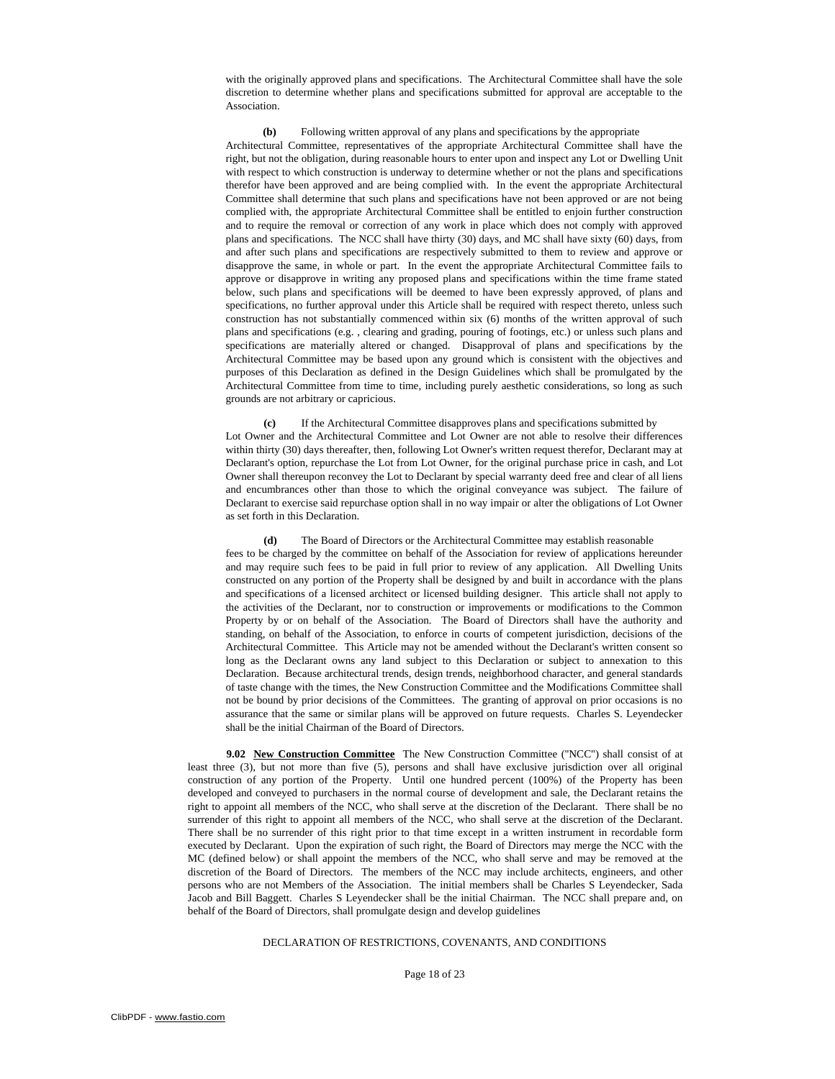with the originally approved plans and specifications. The Architectural Committee shall have the sole discretion to determine whether plans and specifications submitted for approval are acceptable to the Association.

**(b)** Following written approval of any plans and specifications by the appropriate Architectural Committee, representatives of the appropriate Architectural Committee shall have the right, but not the obligation, during reasonable hours to enter upon and inspect any Lot or Dwelling Unit with respect to which construction is underway to determine whether or not the plans and specifications therefor have been approved and are being complied with. In the event the appropriate Architectural Committee shall determine that such plans and specifications have not been approved or are not being complied with, the appropriate Architectural Committee shall be entitled to enjoin further construction and to require the removal or correction of any work in place which does not comply with approved plans and specifications. The NCC shall have thirty (30) days, and MC shall have sixty (60) days, from and after such plans and specifications are respectively submitted to them to review and approve or disapprove the same, in whole or part. In the event the appropriate Architectural Committee fails to approve or disapprove in writing any proposed plans and specifications within the time frame stated below, such plans and specifications will be deemed to have been expressly approved, of plans and specifications, no further approval under this Article shall be required with respect thereto, unless such construction has not substantially commenced within six (6) months of the written approval of such plans and specifications (e.g. , clearing and grading, pouring of footings, etc.) or unless such plans and specifications are materially altered or changed. Disapproval of plans and specifications by the Architectural Committee may be based upon any ground which is consistent with the objectives and purposes of this Declaration as defined in the Design Guidelines which shall be promulgated by the Architectural Committee from time to time, including purely aesthetic considerations, so long as such grounds are not arbitrary or capricious.

**(c)** If the Architectural Committee disapproves plans and specifications submitted by Lot Owner and the Architectural Committee and Lot Owner are not able to resolve their differences within thirty (30) days thereafter, then, following Lot Owner's written request therefor, Declarant may at Declarant's option, repurchase the Lot from Lot Owner, for the original purchase price in cash, and Lot Owner shall thereupon reconvey the Lot to Declarant by special warranty deed free and clear of all liens and encumbrances other than those to which the original conveyance was subject. The failure of Declarant to exercise said repurchase option shall in no way impair or alter the obligations of Lot Owner as set forth in this Declaration.

**(d)** The Board of Directors or the Architectural Committee may establish reasonable fees to be charged by the committee on behalf of the Association for review of applications hereunder and may require such fees to be paid in full prior to review of any application. All Dwelling Units constructed on any portion of the Property shall be designed by and built in accordance with the plans and specifications of a licensed architect or licensed building designer. This article shall not apply to the activities of the Declarant, nor to construction or improvements or modifications to the Common Property by or on behalf of the Association. The Board of Directors shall have the authority and standing, on behalf of the Association, to enforce in courts of competent jurisdiction, decisions of the Architectural Committee. This Article may not be amended without the Declarant's written consent so long as the Declarant owns any land subject to this Declaration or subject to annexation to this Declaration. Because architectural trends, design trends, neighborhood character, and general standards of taste change with the times, the New Construction Committee and the Modifications Committee shall not be bound by prior decisions of the Committees. The granting of approval on prior occasions is no assurance that the same or similar plans will be approved on future requests. Charles S. Leyendecker shall be the initial Chairman of the Board of Directors.

**9.02 New Construction Committee** The New Construction Committee ("NCC") shall consist of at least three (3), but not more than five (5), persons and shall have exclusive jurisdiction over all original construction of any portion of the Property. Until one hundred percent (100%) of the Property has been developed and conveyed to purchasers in the normal course of development and sale, the Declarant retains the right to appoint all members of the NCC, who shall serve at the discretion of the Declarant. There shall be no surrender of this right to appoint all members of the NCC, who shall serve at the discretion of the Declarant. There shall be no surrender of this right prior to that time except in a written instrument in recordable form executed by Declarant. Upon the expiration of such right, the Board of Directors may merge the NCC with the MC (defined below) or shall appoint the members of the NCC, who shall serve and may be removed at the discretion of the Board of Directors. The members of the NCC may include architects, engineers, and other persons who are not Members of the Association. The initial members shall be Charles S Leyendecker, Sada Jacob and Bill Baggett. Charles S Leyendecker shall be the initial Chairman. The NCC shall prepare and, on behalf of the Board of Directors, shall promulgate design and develop guidelines

# DECLARATION OF RESTRICTIONS, COVENANTS, AND CONDITIONS

Page 18 of 23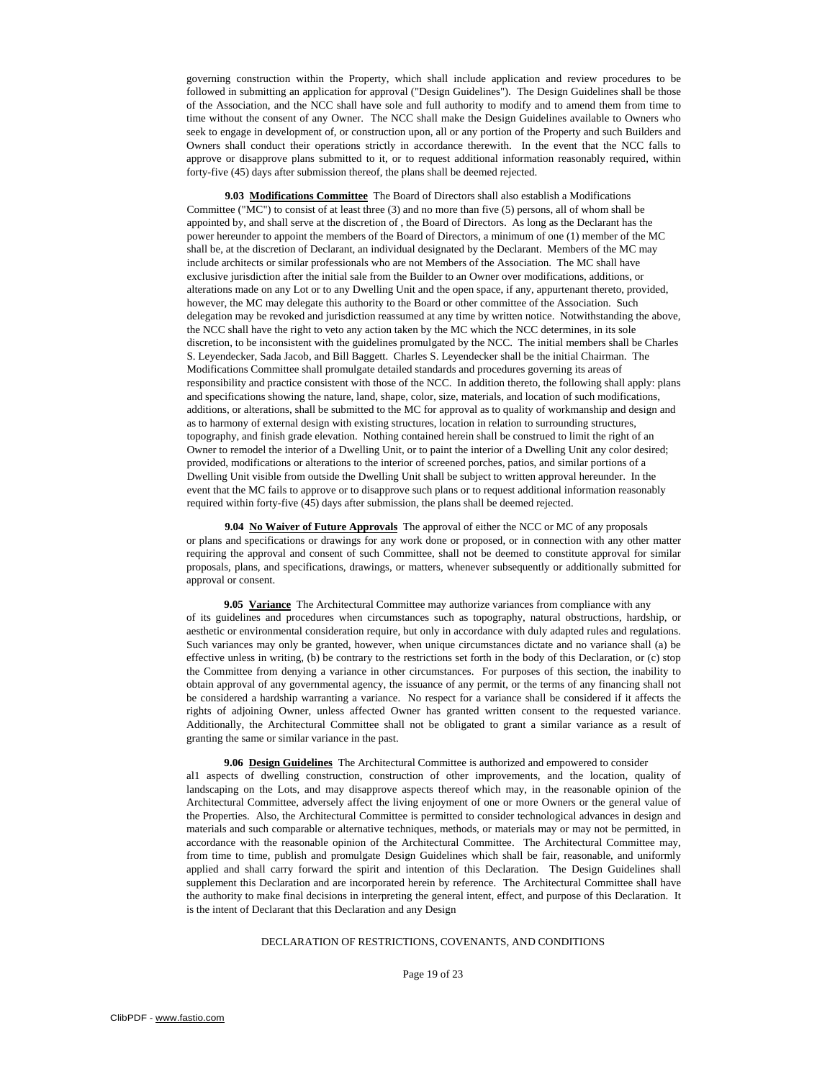governing construction within the Property, which shall include application and review procedures to be followed in submitting an application for approval ("Design Guidelines"). The Design Guidelines shall be those of the Association, and the NCC shall have sole and full authority to modify and to amend them from time to time without the consent of any Owner. The NCC shall make the Design Guidelines available to Owners who seek to engage in development of, or construction upon, all or any portion of the Property and such Builders and Owners shall conduct their operations strictly in accordance therewith. In the event that the NCC falls to approve or disapprove plans submitted to it, or to request additional information reasonably required, within forty-five (45) days after submission thereof, the plans shall be deemed rejected.

**9.03 Modifications Committee** The Board of Directors shall also establish a Modifications Committee ("MC") to consist of at least three (3) and no more than five (5) persons, all of whom shall be appointed by, and shall serve at the discretion of , the Board of Directors. As long as the Declarant has the power hereunder to appoint the members of the Board of Directors, a minimum of one (1) member of the MC shall be, at the discretion of Declarant, an individual designated by the Declarant. Members of the MC may include architects or similar professionals who are not Members of the Association. The MC shall have exclusive jurisdiction after the initial sale from the Builder to an Owner over modifications, additions, or alterations made on any Lot or to any Dwelling Unit and the open space, if any, appurtenant thereto, provided, however, the MC may delegate this authority to the Board or other committee of the Association. Such delegation may be revoked and jurisdiction reassumed at any time by written notice. Notwithstanding the above, the NCC shall have the right to veto any action taken by the MC which the NCC determines, in its sole discretion, to be inconsistent with the guidelines promulgated by the NCC. The initial members shall be Charles S. Leyendecker, Sada Jacob, and Bill Baggett. Charles S. Leyendecker shall be the initial Chairman. The Modifications Committee shall promulgate detailed standards and procedures governing its areas of responsibility and practice consistent with those of the NCC. In addition thereto, the following shall apply: plans and specifications showing the nature, land, shape, color, size, materials, and location of such modifications, additions, or alterations, shall be submitted to the MC for approval as to quality of workmanship and design and as to harmony of external design with existing structures, location in relation to surrounding structures, topography, and finish grade elevation. Nothing contained herein shall be construed to limit the right of an Owner to remodel the interior of a Dwelling Unit, or to paint the interior of a Dwelling Unit any color desired; provided, modifications or alterations to the interior of screened porches, patios, and similar portions of a Dwelling Unit visible from outside the Dwelling Unit shall be subject to written approval hereunder. In the event that the MC fails to approve or to disapprove such plans or to request additional information reasonably required within forty-five (45) days after submission, the plans shall be deemed rejected.

**9.04 No Waiver of Future Approvals** The approval of either the NCC or MC of any proposals or plans and specifications or drawings for any work done or proposed, or in connection with any other matter requiring the approval and consent of such Committee, shall not be deemed to constitute approval for similar proposals, plans, and specifications, drawings, or matters, whenever subsequently or additionally submitted for approval or consent.

**9.05 Variance** The Architectural Committee may authorize variances from compliance with any of its guidelines and procedures when circumstances such as topography, natural obstructions, hardship, or aesthetic or environmental consideration require, but only in accordance with duly adapted rules and regulations. Such variances may only be granted, however, when unique circumstances dictate and no variance shall (a) be effective unless in writing, (b) be contrary to the restrictions set forth in the body of this Declaration, or (c) stop the Committee from denying a variance in other circumstances. For purposes of this section, the inability to obtain approval of any governmental agency, the issuance of any permit, or the terms of any financing shall not be considered a hardship warranting a variance. No respect for a variance shall be considered if it affects the rights of adjoining Owner, unless affected Owner has granted written consent to the requested variance. Additionally, the Architectural Committee shall not be obligated to grant a similar variance as a result of granting the same or similar variance in the past.

**9.06 Design Guidelines** The Architectural Committee is authorized and empowered to consider al1 aspects of dwelling construction, construction of other improvements, and the location, quality of landscaping on the Lots, and may disapprove aspects thereof which may, in the reasonable opinion of the Architectural Committee, adversely affect the living enjoyment of one or more Owners or the general value of the Properties. Also, the Architectural Committee is permitted to consider technological advances in design and materials and such comparable or alternative techniques, methods, or materials may or may not be permitted, in accordance with the reasonable opinion of the Architectural Committee. The Architectural Committee may, from time to time, publish and promulgate Design Guidelines which shall be fair, reasonable, and uniformly applied and shall carry forward the spirit and intention of this Declaration. The Design Guidelines shall supplement this Declaration and are incorporated herein by reference. The Architectural Committee shall have the authority to make final decisions in interpreting the general intent, effect, and purpose of this Declaration. It is the intent of Declarant that this Declaration and any Design

## DECLARATION OF RESTRICTIONS, COVENANTS, AND CONDITIONS

#### Page 19 of 23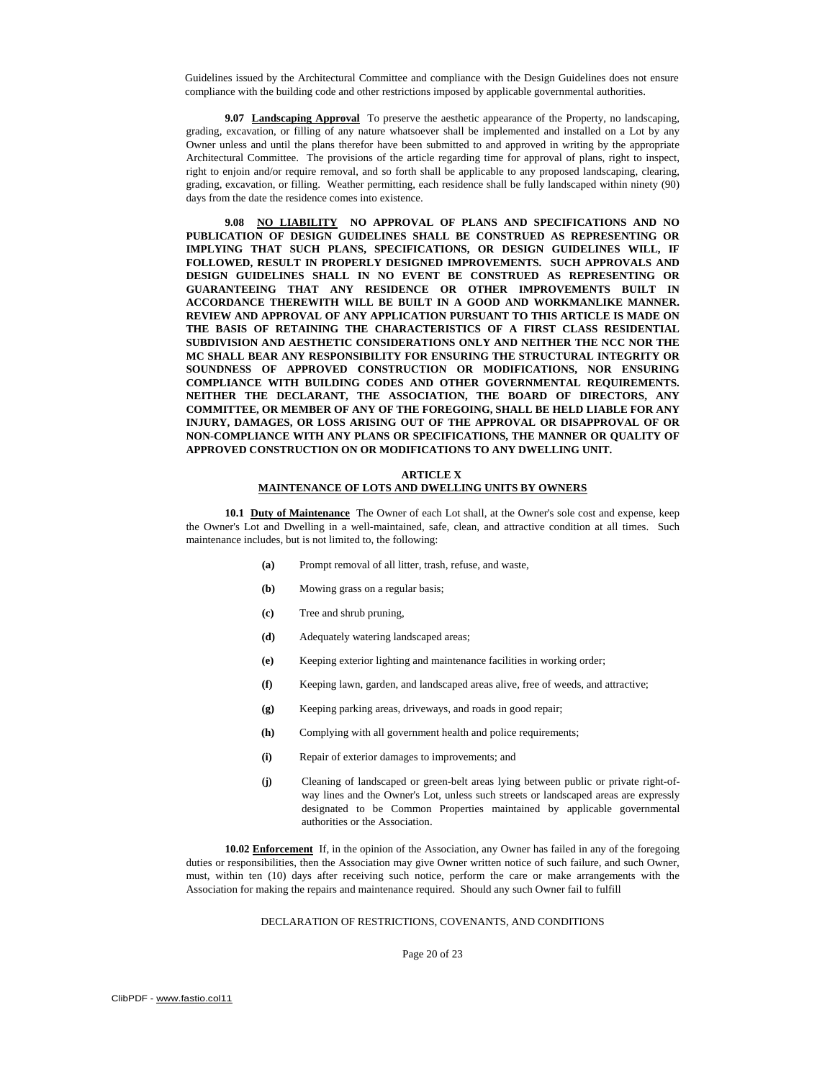Guidelines issued by the Architectural Committee and compliance with the Design Guidelines does not ensure compliance with the building code and other restrictions imposed by applicable governmental authorities.

**9.07 Landscaping Approval** To preserve the aesthetic appearance of the Property, no landscaping, grading, excavation, or filling of any nature whatsoever shall be implemented and installed on a Lot by any Owner unless and until the plans therefor have been submitted to and approved in writing by the appropriate Architectural Committee. The provisions of the article regarding time for approval of plans, right to inspect, right to enjoin and/or require removal, and so forth shall be applicable to any proposed landscaping, clearing, grading, excavation, or filling. Weather permitting, each residence shall be fully landscaped within ninety (90) days from the date the residence comes into existence.

**9.08 NO LIABILITY NO APPROVAL OF PLANS AND SPECIFICATIONS AND NO PUBLICATION OF DESIGN GUIDELINES SHALL BE CONSTRUED AS REPRESENTING OR IMPLYING THAT SUCH PLANS, SPECIFICATIONS, OR DESIGN GUIDELINES WILL, IF FOLLOWED, RESULT IN PROPERLY DESIGNED IMPROVEMENTS. SUCH APPROVALS AND DESIGN GUIDELINES SHALL IN NO EVENT BE CONSTRUED AS REPRESENTING OR GUARANTEEING THAT ANY RESIDENCE OR OTHER IMPROVEMENTS BUILT IN ACCORDANCE THEREWITH WILL BE BUILT IN A GOOD AND WORKMANLIKE MANNER. REVIEW AND APPROVAL OF ANY APPLICATION PURSUANT TO THIS ARTICLE IS MADE ON THE BASIS OF RETAINING THE CHARACTERISTICS OF A FIRST CLASS RESIDENTIAL SUBDIVISION AND AESTHETIC CONSIDERATIONS ONLY AND NEITHER THE NCC NOR THE MC SHALL BEAR ANY RESPONSIBILITY FOR ENSURING THE STRUCTURAL INTEGRITY OR SOUNDNESS OF APPROVED CONSTRUCTION OR MODIFICATIONS, NOR ENSURING COMPLIANCE WITH BUILDING CODES AND OTHER GOVERNMENTAL REQUIREMENTS. NEITHER THE DECLARANT, THE ASSOCIATION, THE BOARD OF DIRECTORS, ANY COMMITTEE, OR MEMBER OF ANY OF THE FOREGOING, SHALL BE HELD LIABLE FOR ANY INJURY, DAMAGES, OR LOSS ARISING OUT OF THE APPROVAL OR DISAPPROVAL OF OR NON-COMPLIANCE WITH ANY PLANS OR SPECIFICATIONS, THE MANNER OR QUALITY OF APPROVED CONSTRUCTION ON OR MODIFICATIONS TO ANY DWELLING UNIT.** 

#### **ARTICLE X**

# **MAINTENANCE OF LOTS AND DWELLING UNITS BY OWNERS**

**10.1 Duty of Maintenance** The Owner of each Lot shall, at the Owner's sole cost and expense, keep the Owner's Lot and Dwelling in a well-maintained, safe, clean, and attractive condition at all times. Such maintenance includes, but is not limited to, the following:

- **(a)** Prompt removal of all litter, trash, refuse, and waste,
- **(b)** Mowing grass on a regular basis;
- **(c)** Tree and shrub pruning,
- **(d)** Adequately watering landscaped areas;
- **(e)** Keeping exterior lighting and maintenance facilities in working order;
- **(f)** Keeping lawn, garden, and landscaped areas alive, free of weeds, and attractive;
- **(g)** Keeping parking areas, driveways, and roads in good repair;
- **(h)** Complying with all government health and police requirements;
- **(i)** Repair of exterior damages to improvements; and
- **(j)** Cleaning of landscaped or green-belt areas lying between public or private right-ofway lines and the Owner's Lot, unless such streets or landscaped areas are expressly designated to be Common Properties maintained by applicable governmental authorities or the Association.

**10.02 Enforcement** If, in the opinion of the Association, any Owner has failed in any of the foregoing duties or responsibilities, then the Association may give Owner written notice of such failure, and such Owner, must, within ten (10) days after receiving such notice, perform the care or make arrangements with the Association for making the repairs and maintenance required. Should any such Owner fail to fulfill

## DECLARATION OF RESTRICTIONS, COVENANTS, AND CONDITIONS

Page 20 of 23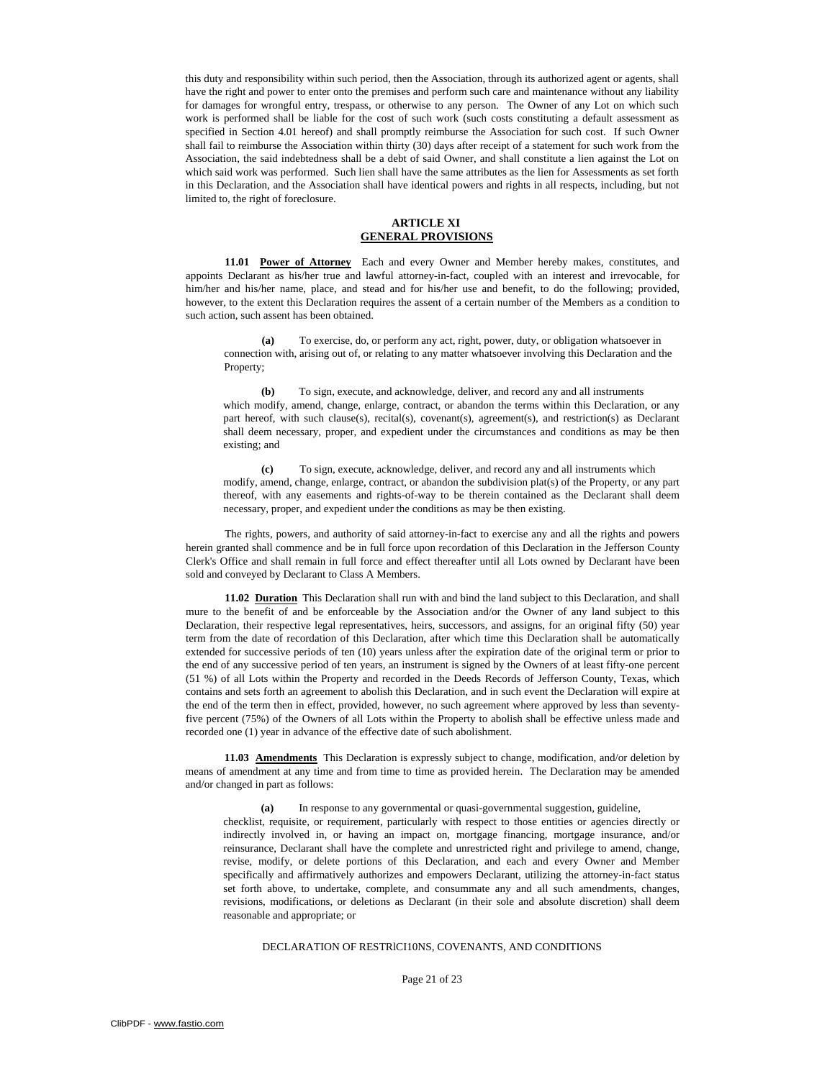this duty and responsibility within such period, then the Association, through its authorized agent or agents, shall have the right and power to enter onto the premises and perform such care and maintenance without any liability for damages for wrongful entry, trespass, or otherwise to any person. The Owner of any Lot on which such work is performed shall be liable for the cost of such work (such costs constituting a default assessment as specified in Section 4.01 hereof) and shall promptly reimburse the Association for such cost. If such Owner shall fail to reimburse the Association within thirty (30) days after receipt of a statement for such work from the Association, the said indebtedness shall be a debt of said Owner, and shall constitute a lien against the Lot on which said work was performed. Such lien shall have the same attributes as the lien for Assessments as set forth in this Declaration, and the Association shall have identical powers and rights in all respects, including, but not limited to, the right of foreclosure.

## **ARTICLE XI GENERAL PROVISIONS**

**11.01 Power of Attorney** Each and every Owner and Member hereby makes, constitutes, and appoints Declarant as his/her true and lawful attorney-in-fact, coupled with an interest and irrevocable, for him/her and his/her name, place, and stead and for his/her use and benefit, to do the following; provided, however, to the extent this Declaration requires the assent of a certain number of the Members as a condition to such action, such assent has been obtained.

**(a)** To exercise, do, or perform any act, right, power, duty, or obligation whatsoever in connection with, arising out of, or relating to any matter whatsoever involving this Declaration and the Property;

**(b)** To sign, execute, and acknowledge, deliver, and record any and all instruments which modify, amend, change, enlarge, contract, or abandon the terms within this Declaration, or any part hereof, with such clause(s), recital(s), covenant(s), agreement(s), and restriction(s) as Declarant shall deem necessary, proper, and expedient under the circumstances and conditions as may be then existing; and

**(c)** To sign, execute, acknowledge, deliver, and record any and all instruments which modify, amend, change, enlarge, contract, or abandon the subdivision plat(s) of the Property, or any part thereof, with any easements and rights-of-way to be therein contained as the Declarant shall deem necessary, proper, and expedient under the conditions as may be then existing.

The rights, powers, and authority of said attorney-in-fact to exercise any and all the rights and powers herein granted shall commence and be in full force upon recordation of this Declaration in the Jefferson County Clerk's Office and shall remain in full force and effect thereafter until all Lots owned by Declarant have been sold and conveyed by Declarant to Class A Members.

**11.02 Duration** This Declaration shall run with and bind the land subject to this Declaration, and shall mure to the benefit of and be enforceable by the Association and/or the Owner of any land subject to this Declaration, their respective legal representatives, heirs, successors, and assigns, for an original fifty (50) year term from the date of recordation of this Declaration, after which time this Declaration shall be automatically extended for successive periods of ten (10) years unless after the expiration date of the original term or prior to the end of any successive period of ten years, an instrument is signed by the Owners of at least fifty-one percent (51 %) of all Lots within the Property and recorded in the Deeds Records of Jefferson County, Texas, which contains and sets forth an agreement to abolish this Declaration, and in such event the Declaration will expire at the end of the term then in effect, provided, however, no such agreement where approved by less than seventyfive percent (75%) of the Owners of all Lots within the Property to abolish shall be effective unless made and recorded one (1) year in advance of the effective date of such abolishment.

**11.03 Amendments** This Declaration is expressly subject to change, modification, and/or deletion by means of amendment at any time and from time to time as provided herein. The Declaration may be amended and/or changed in part as follows:

**(a)** In response to any governmental or quasi-governmental suggestion, guideline,

checklist, requisite, or requirement, particularly with respect to those entities or agencies directly or indirectly involved in, or having an impact on, mortgage financing, mortgage insurance, and/or reinsurance, Declarant shall have the complete and unrestricted right and privilege to amend, change, revise, modify, or delete portions of this Declaration, and each and every Owner and Member specifically and affirmatively authorizes and empowers Declarant, utilizing the attorney-in-fact status set forth above, to undertake, complete, and consummate any and all such amendments, changes, revisions, modifications, or deletions as Declarant (in their sole and absolute discretion) shall deem reasonable and appropriate; or

# DECLARATION OF RESTRlCI10NS, COVENANTS, AND CONDITIONS

Page 21 of 23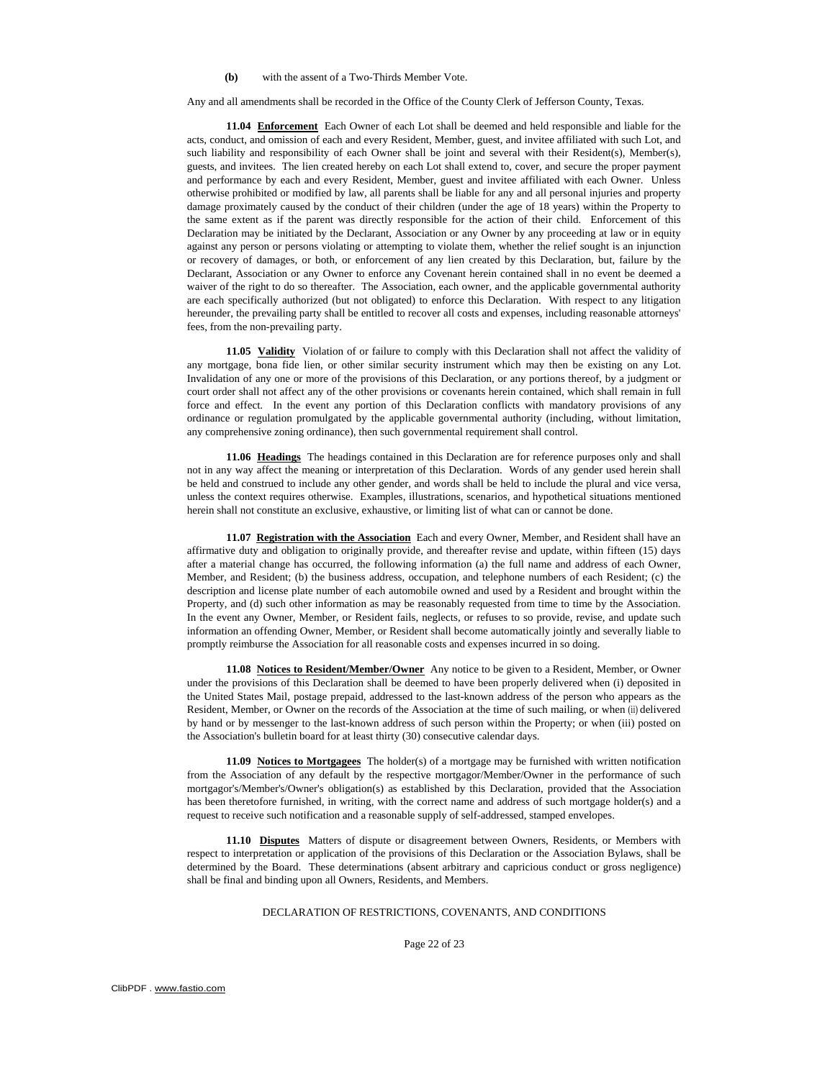#### **(b)** with the assent of a Two-Thirds Member Vote.

Any and all amendments shall be recorded in the Office of the County Clerk of Jefferson County, Texas.

**11.04 Enforcement** Each Owner of each Lot shall be deemed and held responsible and liable for the acts, conduct, and omission of each and every Resident, Member, guest, and invitee affiliated with such Lot, and such liability and responsibility of each Owner shall be joint and several with their Resident(s), Member(s), guests, and invitees. The lien created hereby on each Lot shall extend to, cover, and secure the proper payment and performance by each and every Resident, Member, guest and invitee affiliated with each Owner. Unless otherwise prohibited or modified by law, all parents shall be liable for any and all personal injuries and property damage proximately caused by the conduct of their children (under the age of 18 years) within the Property to the same extent as if the parent was directly responsible for the action of their child. Enforcement of this Declaration may be initiated by the Declarant, Association or any Owner by any proceeding at law or in equity against any person or persons violating or attempting to violate them, whether the relief sought is an injunction or recovery of damages, or both, or enforcement of any lien created by this Declaration, but, failure by the Declarant, Association or any Owner to enforce any Covenant herein contained shall in no event be deemed a waiver of the right to do so thereafter. The Association, each owner, and the applicable governmental authority are each specifically authorized (but not obligated) to enforce this Declaration. With respect to any litigation hereunder, the prevailing party shall be entitled to recover all costs and expenses, including reasonable attorneys' fees, from the non-prevailing party.

**11.05 Validity** Violation of or failure to comply with this Declaration shall not affect the validity of any mortgage, bona fide lien, or other similar security instrument which may then be existing on any Lot. Invalidation of any one or more of the provisions of this Declaration, or any portions thereof, by a judgment or court order shall not affect any of the other provisions or covenants herein contained, which shall remain in full force and effect. In the event any portion of this Declaration conflicts with mandatory provisions of any ordinance or regulation promulgated by the applicable governmental authority (including, without limitation, any comprehensive zoning ordinance), then such governmental requirement shall control.

**11.06 Headings** The headings contained in this Declaration are for reference purposes only and shall not in any way affect the meaning or interpretation of this Declaration. Words of any gender used herein shall be held and construed to include any other gender, and words shall be held to include the plural and vice versa, unless the context requires otherwise. Examples, illustrations, scenarios, and hypothetical situations mentioned herein shall not constitute an exclusive, exhaustive, or limiting list of what can or cannot be done.

**11.07 Registration with the Association** Each and every Owner, Member, and Resident shall have an affirmative duty and obligation to originally provide, and thereafter revise and update, within fifteen (15) days after a material change has occurred, the following information (a) the full name and address of each Owner, Member, and Resident; (b) the business address, occupation, and telephone numbers of each Resident; (c) the description and license plate number of each automobile owned and used by a Resident and brought within the Property, and (d) such other information as may be reasonably requested from time to time by the Association. In the event any Owner, Member, or Resident fails, neglects, or refuses to so provide, revise, and update such information an offending Owner, Member, or Resident shall become automatically jointly and severally liable to promptly reimburse the Association for all reasonable costs and expenses incurred in so doing.

**11.08 Notices to Resident/Member/Owner** Any notice to be given to a Resident, Member, or Owner under the provisions of this Declaration shall be deemed to have been properly delivered when (i) deposited in the United States Mail, postage prepaid, addressed to the last-known address of the person who appears as the Resident, Member, or Owner on the records of the Association at the time of such mailing, or when (ii) delivered by hand or by messenger to the last-known address of such person within the Property; or when (iii) posted on the Association's bulletin board for at least thirty (30) consecutive calendar days.

**11.09 Notices to Mortgagees** The holder(s) of a mortgage may be furnished with written notification from the Association of any default by the respective mortgagor/Member/Owner in the performance of such mortgagor's/Member's/Owner's obligation(s) as established by this Declaration, provided that the Association has been theretofore furnished, in writing, with the correct name and address of such mortgage holder(s) and a request to receive such notification and a reasonable supply of self-addressed, stamped envelopes.

**11.10 Disputes** Matters of dispute or disagreement between Owners, Residents, or Members with respect to interpretation or application of the provisions of this Declaration or the Association Bylaws, shall be determined by the Board. These determinations (absent arbitrary and capricious conduct or gross negligence) shall be final and binding upon all Owners, Residents, and Members.

### DECLARATION OF RESTRICTIONS, COVENANTS, AND CONDITIONS

Page 22 of 23